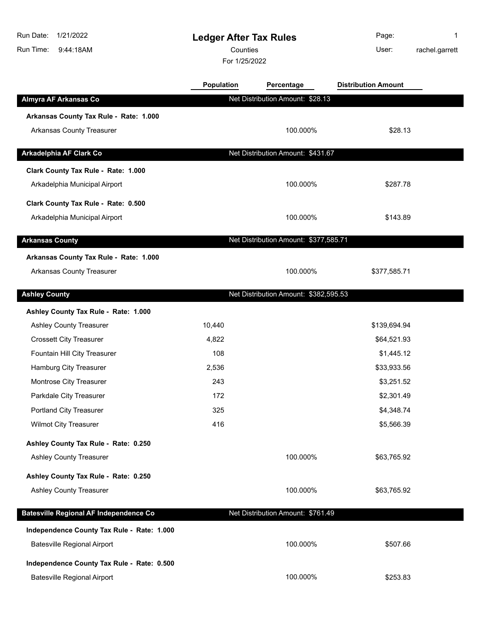| 1/21/2022<br>Run Date:<br>Run Time:<br>9:44:18AM | <b>Ledger After Tax Rules</b><br>Counties<br>For 1/25/2022 |                                       | Page:<br>User:             | 1<br>rachel.garrett |
|--------------------------------------------------|------------------------------------------------------------|---------------------------------------|----------------------------|---------------------|
|                                                  | Population                                                 | Percentage                            | <b>Distribution Amount</b> |                     |
| Almyra AF Arkansas Co                            |                                                            | Net Distribution Amount: \$28.13      |                            |                     |
| Arkansas County Tax Rule - Rate: 1.000           |                                                            |                                       |                            |                     |
| <b>Arkansas County Treasurer</b>                 |                                                            | 100.000%                              | \$28.13                    |                     |
| Arkadelphia AF Clark Co                          |                                                            | Net Distribution Amount: \$431.67     |                            |                     |
| Clark County Tax Rule - Rate: 1.000              |                                                            |                                       |                            |                     |
| Arkadelphia Municipal Airport                    |                                                            | 100.000%                              | \$287.78                   |                     |
| Clark County Tax Rule - Rate: 0.500              |                                                            |                                       |                            |                     |
| Arkadelphia Municipal Airport                    |                                                            | 100.000%                              | \$143.89                   |                     |
| <b>Arkansas County</b>                           |                                                            | Net Distribution Amount: \$377,585.71 |                            |                     |
| Arkansas County Tax Rule - Rate: 1.000           |                                                            |                                       |                            |                     |
| <b>Arkansas County Treasurer</b>                 |                                                            | 100.000%                              | \$377,585.71               |                     |
| <b>Ashley County</b>                             |                                                            | Net Distribution Amount: \$382,595.53 |                            |                     |
| Ashley County Tax Rule - Rate: 1.000             |                                                            |                                       |                            |                     |
| <b>Ashley County Treasurer</b>                   | 10,440                                                     |                                       | \$139,694.94               |                     |
| <b>Crossett City Treasurer</b>                   | 4,822                                                      |                                       | \$64,521.93                |                     |
| Fountain Hill City Treasurer                     | 108                                                        |                                       | \$1,445.12                 |                     |
| Hamburg City Treasurer                           | 2,536                                                      |                                       | \$33,933.56                |                     |
| Montrose City Treasurer                          | 243                                                        |                                       | \$3,251.52                 |                     |
| Parkdale City Treasurer                          | 172                                                        |                                       | \$2,301.49                 |                     |
| Portland City Treasurer                          | 325                                                        |                                       | \$4,348.74                 |                     |
| <b>Wilmot City Treasurer</b>                     | 416                                                        |                                       | \$5,566.39                 |                     |
| Ashley County Tax Rule - Rate: 0.250             |                                                            |                                       |                            |                     |
| <b>Ashley County Treasurer</b>                   |                                                            | 100.000%                              | \$63,765.92                |                     |
| Ashley County Tax Rule - Rate: 0.250             |                                                            |                                       |                            |                     |
| <b>Ashley County Treasurer</b>                   |                                                            | 100.000%                              | \$63,765.92                |                     |
| <b>Batesville Regional AF Independence Co</b>    |                                                            | Net Distribution Amount: \$761.49     |                            |                     |
| Independence County Tax Rule - Rate: 1.000       |                                                            |                                       |                            |                     |
| <b>Batesville Regional Airport</b>               |                                                            | 100.000%                              | \$507.66                   |                     |
| Independence County Tax Rule - Rate: 0.500       |                                                            |                                       |                            |                     |
| <b>Batesville Regional Airport</b>               |                                                            | 100.000%                              | \$253.83                   |                     |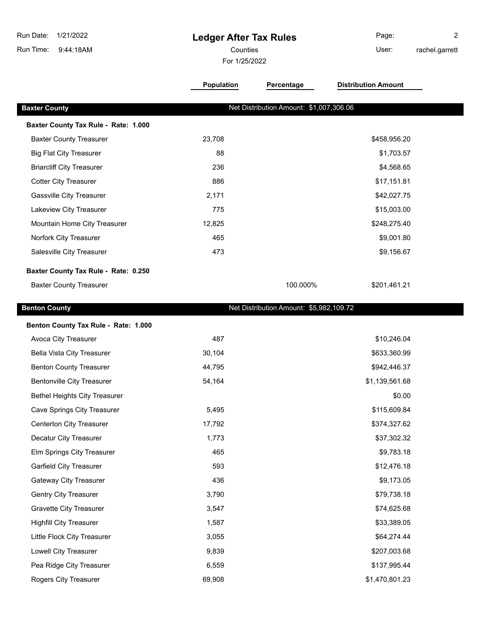| 1/21/2022<br>Run Date:<br>Run Time:<br>9:44:18AM | <b>Ledger After Tax Rules</b><br>Counties<br>For 1/25/2022 |                                         | Page:<br>User:             | 2<br>rachel.garrett |
|--------------------------------------------------|------------------------------------------------------------|-----------------------------------------|----------------------------|---------------------|
|                                                  | Population                                                 | Percentage                              | <b>Distribution Amount</b> |                     |
| <b>Baxter County</b>                             |                                                            | Net Distribution Amount: \$1,007,306.06 |                            |                     |
| Baxter County Tax Rule - Rate: 1.000             |                                                            |                                         |                            |                     |
| <b>Baxter County Treasurer</b>                   | 23,708                                                     |                                         | \$458,956.20               |                     |
| <b>Big Flat City Treasurer</b>                   | 88                                                         |                                         | \$1,703.57                 |                     |
| <b>Briarcliff City Treasurer</b>                 | 236                                                        |                                         | \$4,568.65                 |                     |
| <b>Cotter City Treasurer</b>                     | 886                                                        |                                         | \$17,151.81                |                     |
| <b>Gassville City Treasurer</b>                  | 2,171                                                      |                                         | \$42,027.75                |                     |
| Lakeview City Treasurer                          | 775                                                        |                                         | \$15,003.00                |                     |
| Mountain Home City Treasurer                     | 12,825                                                     |                                         | \$248,275.40               |                     |
| Norfork City Treasurer                           | 465                                                        |                                         | \$9,001.80                 |                     |
| Salesville City Treasurer                        | 473                                                        |                                         | \$9,156.67                 |                     |
| Baxter County Tax Rule - Rate: 0.250             |                                                            |                                         |                            |                     |
| <b>Baxter County Treasurer</b>                   |                                                            | 100.000%                                | \$201,461.21               |                     |
| <b>Benton County</b>                             |                                                            | Net Distribution Amount: \$5,982,109.72 |                            |                     |
| Benton County Tax Rule - Rate: 1.000             |                                                            |                                         |                            |                     |
| Avoca City Treasurer                             | 487                                                        |                                         | \$10,246.04                |                     |
| <b>Bella Vista City Treasurer</b>                | 30,104                                                     |                                         | \$633,360.99               |                     |
| <b>Benton County Treasurer</b>                   | 44,795                                                     |                                         | \$942,446.37               |                     |
| <b>Bentonville City Treasurer</b>                | 54,164                                                     |                                         | \$1,139,561.68             |                     |
| <b>Bethel Heights City Treasurer</b>             |                                                            |                                         | \$0.00                     |                     |
| <b>Cave Springs City Treasurer</b>               | 5,495                                                      |                                         | \$115,609.84               |                     |
| <b>Centerton City Treasurer</b>                  | 17,792                                                     |                                         | \$374,327.62               |                     |
| Decatur City Treasurer                           | 1,773                                                      |                                         | \$37,302.32                |                     |
| Elm Springs City Treasurer                       | 465                                                        |                                         | \$9,783.18                 |                     |
| Garfield City Treasurer                          | 593                                                        |                                         | \$12,476.18                |                     |
| <b>Gateway City Treasurer</b>                    | 436                                                        |                                         | \$9,173.05                 |                     |
| <b>Gentry City Treasurer</b>                     | 3,790                                                      |                                         | \$79,738.18                |                     |
| <b>Gravette City Treasurer</b>                   | 3,547                                                      |                                         | \$74,625.68                |                     |
| <b>Highfill City Treasurer</b>                   | 1,587                                                      |                                         | \$33,389.05                |                     |
| Little Flock City Treasurer                      | 3,055                                                      |                                         | \$64,274.44                |                     |
| Lowell City Treasurer                            | 9,839                                                      |                                         | \$207,003.68               |                     |
| Pea Ridge City Treasurer                         | 6,559                                                      |                                         | \$137,995.44               |                     |

Rogers City Treasurer 69,908 69,908 \$1,470,801.23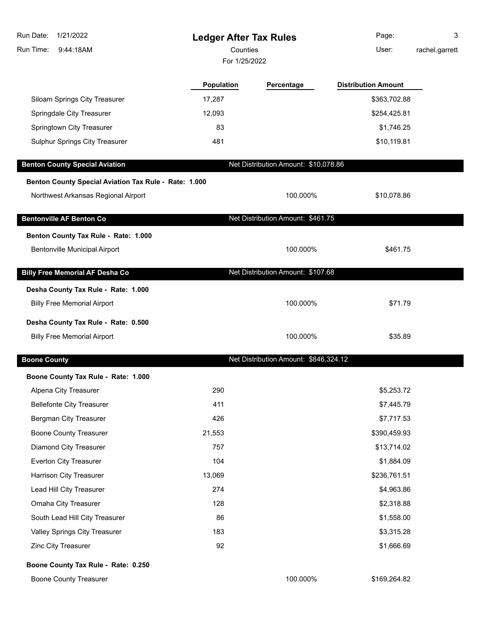| 1/21/2022<br>Run Date:<br>9:44:18AM<br>Run Time:      | <b>Ledger After Tax Rules</b><br>Counties |                                       | Page:<br>User:             | 3<br>rachel.garrett |
|-------------------------------------------------------|-------------------------------------------|---------------------------------------|----------------------------|---------------------|
|                                                       | For 1/25/2022                             |                                       |                            |                     |
|                                                       | <b>Population</b>                         | Percentage                            | <b>Distribution Amount</b> |                     |
| Siloam Springs City Treasurer                         | 17,287                                    |                                       | \$363,702.88               |                     |
| Springdale City Treasurer                             | 12,093                                    |                                       | \$254,425.81               |                     |
| Springtown City Treasurer                             | 83                                        |                                       | \$1,746.25                 |                     |
| Sulphur Springs City Treasurer                        | 481                                       |                                       | \$10,119.81                |                     |
| <b>Benton County Special Aviation</b>                 |                                           | Net Distribution Amount: \$10,078.86  |                            |                     |
| Benton County Special Aviation Tax Rule - Rate: 1.000 |                                           |                                       |                            |                     |
| Northwest Arkansas Regional Airport                   |                                           | 100.000%                              | \$10,078.86                |                     |
| <b>Bentonville AF Benton Co</b>                       |                                           | Net Distribution Amount: \$461.75     |                            |                     |
| Benton County Tax Rule - Rate: 1.000                  |                                           |                                       |                            |                     |
| <b>Bentonville Municipal Airport</b>                  |                                           | 100.000%                              | \$461.75                   |                     |
| <b>Billy Free Memorial AF Desha Co</b>                |                                           | Net Distribution Amount: \$107.68     |                            |                     |
| Desha County Tax Rule - Rate: 1.000                   |                                           |                                       |                            |                     |
| <b>Billy Free Memorial Airport</b>                    |                                           | 100.000%                              | \$71.79                    |                     |
| Desha County Tax Rule - Rate: 0.500                   |                                           |                                       |                            |                     |
| <b>Billy Free Memorial Airport</b>                    |                                           | 100.000%                              | \$35.89                    |                     |
| <b>Boone County</b>                                   |                                           | Net Distribution Amount: \$846,324.12 |                            |                     |
| Boone County Tax Rule - Rate: 1.000                   |                                           |                                       |                            |                     |
| Alpena City Treasurer                                 | 290                                       |                                       | \$5,253.72                 |                     |
| <b>Bellefonte City Treasurer</b>                      | 411                                       |                                       | \$7,445.79                 |                     |
| Bergman City Treasurer                                | 426                                       |                                       | \$7,717.53                 |                     |
| <b>Boone County Treasurer</b>                         | 21,553                                    |                                       | \$390,459.93               |                     |
| Diamond City Treasurer                                | 757                                       |                                       | \$13,714.02                |                     |
| <b>Everton City Treasurer</b>                         | 104                                       |                                       | \$1,884.09                 |                     |
| Harrison City Treasurer                               | 13,069                                    |                                       | \$236,761.51               |                     |
| Lead Hill City Treasurer                              | 274                                       |                                       | \$4,963.86                 |                     |
| Omaha City Treasurer                                  | 128                                       |                                       | \$2,318.88                 |                     |
| South Lead Hill City Treasurer                        | 86                                        |                                       | \$1,558.00                 |                     |
| Valley Springs City Treasurer                         | 183                                       |                                       | \$3,315.28                 |                     |
| Zinc City Treasurer                                   | 92                                        |                                       | \$1,666.69                 |                     |
| Boone County Tax Rule - Rate: 0.250                   |                                           |                                       |                            |                     |
| <b>Boone County Treasurer</b>                         |                                           | 100.000%                              | \$169,264.82               |                     |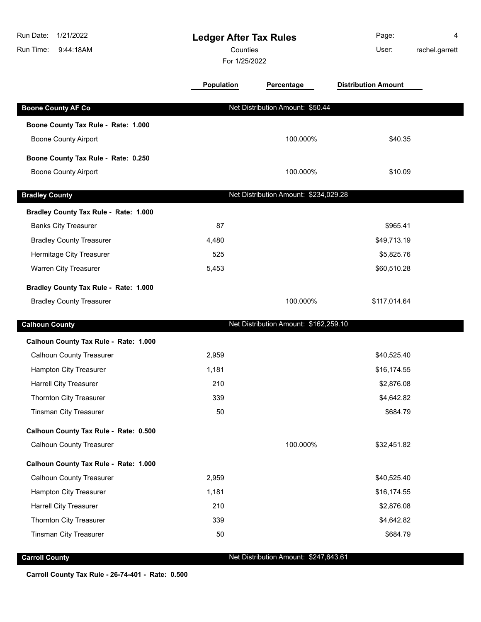| Run Date:<br>1/21/2022<br>Run Time:<br>9:44:18AM | <b>Ledger After Tax Rules</b><br>Counties<br>For 1/25/2022 |                                       | Page:<br>User:             | 4<br>rachel.garrett |
|--------------------------------------------------|------------------------------------------------------------|---------------------------------------|----------------------------|---------------------|
|                                                  | Population                                                 | Percentage                            | <b>Distribution Amount</b> |                     |
| <b>Boone County AF Co</b>                        |                                                            | Net Distribution Amount: \$50.44      |                            |                     |
| Boone County Tax Rule - Rate: 1.000              |                                                            |                                       |                            |                     |
| <b>Boone County Airport</b>                      |                                                            | 100.000%                              | \$40.35                    |                     |
| Boone County Tax Rule - Rate: 0.250              |                                                            |                                       |                            |                     |
| <b>Boone County Airport</b>                      |                                                            | 100.000%                              | \$10.09                    |                     |
|                                                  |                                                            |                                       |                            |                     |
| <b>Bradley County</b>                            |                                                            | Net Distribution Amount: \$234,029.28 |                            |                     |
| Bradley County Tax Rule - Rate: 1.000            |                                                            |                                       |                            |                     |
| <b>Banks City Treasurer</b>                      | 87                                                         |                                       | \$965.41                   |                     |
| <b>Bradley County Treasurer</b>                  | 4,480                                                      |                                       | \$49,713.19                |                     |
| Hermitage City Treasurer                         | 525                                                        |                                       | \$5,825.76                 |                     |
| Warren City Treasurer                            | 5,453                                                      |                                       | \$60,510.28                |                     |
| Bradley County Tax Rule - Rate: 1.000            |                                                            |                                       |                            |                     |
| <b>Bradley County Treasurer</b>                  |                                                            | 100.000%                              | \$117,014.64               |                     |
| <b>Calhoun County</b>                            |                                                            | Net Distribution Amount: \$162,259.10 |                            |                     |
| Calhoun County Tax Rule - Rate: 1.000            |                                                            |                                       |                            |                     |
| <b>Calhoun County Treasurer</b>                  | 2,959                                                      |                                       | \$40,525.40                |                     |
| Hampton City Treasurer                           | 1,181                                                      |                                       | \$16,174.55                |                     |
| <b>Harrell City Treasurer</b>                    | 210                                                        |                                       | \$2,876.08                 |                     |
| <b>Thornton City Treasurer</b>                   | 339                                                        |                                       | \$4,642.82                 |                     |
| <b>Tinsman City Treasurer</b>                    | 50                                                         |                                       | \$684.79                   |                     |
| Calhoun County Tax Rule - Rate: 0.500            |                                                            |                                       |                            |                     |
| <b>Calhoun County Treasurer</b>                  |                                                            | 100.000%                              | \$32,451.82                |                     |
| Calhoun County Tax Rule - Rate: 1.000            |                                                            |                                       |                            |                     |
| <b>Calhoun County Treasurer</b>                  | 2,959                                                      |                                       | \$40,525.40                |                     |
| Hampton City Treasurer                           | 1,181                                                      |                                       | \$16,174.55                |                     |
| Harrell City Treasurer                           | 210                                                        |                                       | \$2,876.08                 |                     |
| Thornton City Treasurer                          | 339                                                        |                                       | \$4,642.82                 |                     |
| <b>Tinsman City Treasurer</b>                    | 50                                                         |                                       | \$684.79                   |                     |

**Carroll County** Carroll County **Carroll County** Net Distribution Amount: \$247,643.61

**Carroll County Tax Rule - 26-74-401 - Rate: 0.500**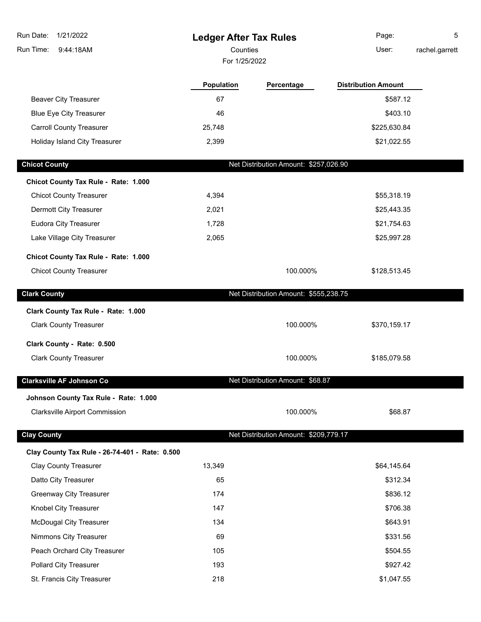| Run Date:<br>1/21/2022                               | <b>Ledger After Tax Rules</b> |                                       | Page:                      | 5              |
|------------------------------------------------------|-------------------------------|---------------------------------------|----------------------------|----------------|
| Run Time:<br>9:44:18AM                               | Counties<br>For 1/25/2022     |                                       | User:                      | rachel.garrett |
|                                                      |                               |                                       |                            |                |
|                                                      | <b>Population</b>             | Percentage                            | <b>Distribution Amount</b> |                |
| <b>Beaver City Treasurer</b>                         | 67                            |                                       | \$587.12                   |                |
| <b>Blue Eye City Treasurer</b>                       | 46                            |                                       | \$403.10                   |                |
| <b>Carroll County Treasurer</b>                      | 25,748                        |                                       | \$225,630.84               |                |
| Holiday Island City Treasurer                        | 2,399                         |                                       | \$21,022.55                |                |
| <b>Chicot County</b>                                 |                               | Net Distribution Amount: \$257,026.90 |                            |                |
|                                                      |                               |                                       |                            |                |
| Chicot County Tax Rule - Rate: 1.000                 |                               |                                       |                            |                |
| <b>Chicot County Treasurer</b>                       | 4,394                         |                                       | \$55,318.19                |                |
| Dermott City Treasurer                               | 2,021                         |                                       | \$25,443.35                |                |
| Eudora City Treasurer<br>Lake Village City Treasurer | 1,728<br>2,065                |                                       | \$21,754.63<br>\$25,997.28 |                |
|                                                      |                               |                                       |                            |                |
| Chicot County Tax Rule - Rate: 1.000                 |                               |                                       |                            |                |
| <b>Chicot County Treasurer</b>                       |                               | 100.000%                              | \$128,513.45               |                |
| <b>Clark County</b>                                  |                               | Net Distribution Amount: \$555,238.75 |                            |                |
| Clark County Tax Rule - Rate: 1.000                  |                               |                                       |                            |                |
| <b>Clark County Treasurer</b>                        |                               | 100.000%                              | \$370,159.17               |                |
|                                                      |                               |                                       |                            |                |
| Clark County - Rate: 0.500                           |                               |                                       |                            |                |
| <b>Clark County Treasurer</b>                        |                               | 100.000%                              | \$185,079.58               |                |
| <b>Clarksville AF Johnson Co</b>                     |                               | Net Distribution Amount: \$68.87      |                            |                |
| Johnson County Tax Rule - Rate: 1.000                |                               |                                       |                            |                |
| <b>Clarksville Airport Commission</b>                |                               | 100.000%                              | \$68.87                    |                |
|                                                      |                               | Net Distribution Amount: \$209,779.17 |                            |                |
| <b>Clay County</b>                                   |                               |                                       |                            |                |
| Clay County Tax Rule - 26-74-401 - Rate: 0.500       |                               |                                       |                            |                |
| <b>Clay County Treasurer</b>                         | 13,349                        |                                       | \$64,145.64                |                |
| Datto City Treasurer                                 | 65                            |                                       | \$312.34                   |                |
| <b>Greenway City Treasurer</b>                       | 174                           |                                       | \$836.12                   |                |
| Knobel City Treasurer                                | 147                           |                                       | \$706.38                   |                |
| <b>McDougal City Treasurer</b>                       | 134                           |                                       | \$643.91                   |                |
| Nimmons City Treasurer                               | 69                            |                                       | \$331.56                   |                |
| Peach Orchard City Treasurer                         | 105                           |                                       | \$504.55                   |                |
| Pollard City Treasurer                               | 193                           |                                       | \$927.42                   |                |
| St. Francis City Treasurer                           | 218                           |                                       | \$1,047.55                 |                |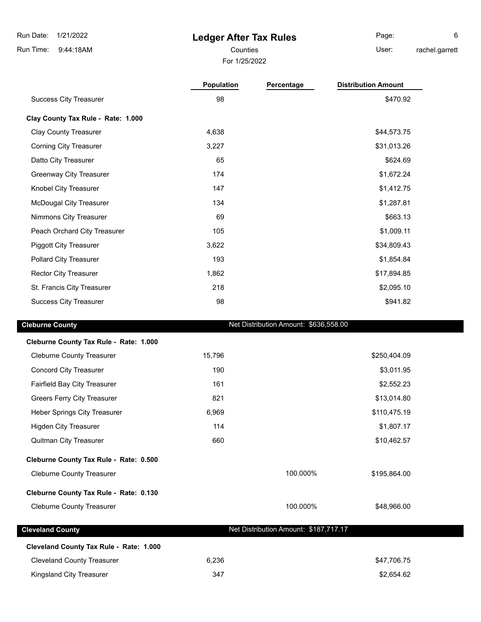9:44:18AM Run Time:

I

## **Ledger After Tax Rules**

For 1/25/2022

Counties **User:** Page: 6

rachel.garrett

|                                         | Population | Percentage                            | <b>Distribution Amount</b> |
|-----------------------------------------|------------|---------------------------------------|----------------------------|
| <b>Success City Treasurer</b>           | 98         |                                       | \$470.92                   |
| Clay County Tax Rule - Rate: 1.000      |            |                                       |                            |
| <b>Clay County Treasurer</b>            | 4,638      |                                       | \$44,573.75                |
| <b>Corning City Treasurer</b>           | 3,227      |                                       | \$31,013.26                |
| Datto City Treasurer                    | 65         |                                       | \$624.69                   |
| <b>Greenway City Treasurer</b>          | 174        |                                       | \$1,672.24                 |
| Knobel City Treasurer                   | 147        |                                       | \$1,412.75                 |
| <b>McDougal City Treasurer</b>          | 134        |                                       | \$1,287.81                 |
| Nimmons City Treasurer                  | 69         |                                       | \$663.13                   |
| Peach Orchard City Treasurer            | 105        |                                       | \$1,009.11                 |
| <b>Piggott City Treasurer</b>           | 3,622      |                                       | \$34,809.43                |
| Pollard City Treasurer                  | 193        |                                       | \$1,854.84                 |
| <b>Rector City Treasurer</b>            | 1,862      |                                       | \$17,894.85                |
| St. Francis City Treasurer              | 218        |                                       | \$2,095.10                 |
| <b>Success City Treasurer</b>           | 98         |                                       | \$941.82                   |
| <b>Cleburne County</b>                  |            | Net Distribution Amount: \$636,558.00 |                            |
|                                         |            |                                       |                            |
| Cleburne County Tax Rule - Rate: 1.000  |            |                                       |                            |
| <b>Cleburne County Treasurer</b>        | 15,796     |                                       | \$250,404.09               |
| <b>Concord City Treasurer</b>           | 190        |                                       | \$3,011.95                 |
| Fairfield Bay City Treasurer            | 161        |                                       | \$2,552.23                 |
| <b>Greers Ferry City Treasurer</b>      | 821        |                                       | \$13,014.80                |
| <b>Heber Springs City Treasurer</b>     | 6,969      |                                       | \$110,475.19               |
| <b>Higden City Treasurer</b>            | 114        |                                       | \$1,807.17                 |
| <b>Quitman City Treasurer</b>           | 660        |                                       | \$10,462.57                |
| Cleburne County Tax Rule - Rate: 0.500  |            |                                       |                            |
| <b>Cleburne County Treasurer</b>        |            | 100.000%                              | \$195,864.00               |
| Cleburne County Tax Rule - Rate: 0.130  |            |                                       |                            |
| <b>Cleburne County Treasurer</b>        |            | 100.000%                              | \$48,966.00                |
|                                         |            |                                       |                            |
| <b>Cleveland County</b>                 |            | Net Distribution Amount: \$187,717.17 |                            |
| Cleveland County Tax Rule - Rate: 1.000 |            |                                       |                            |
| <b>Cleveland County Treasurer</b>       | 6,236      |                                       | \$47,706.75                |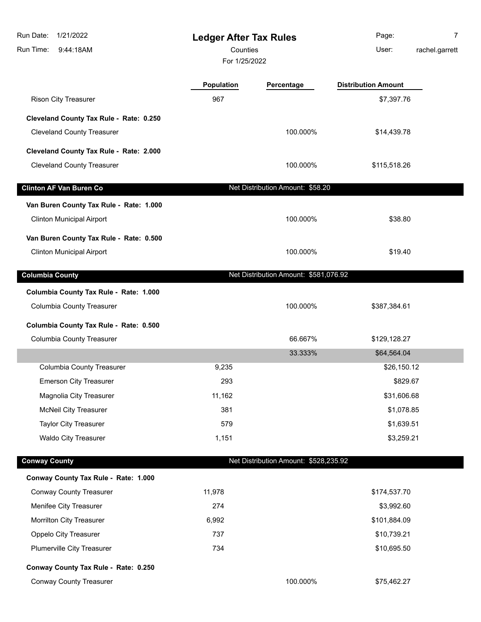| Run Date:<br>1/21/2022                                                      | <b>Ledger After Tax Rules</b> |                                       | Page:                      | 7              |
|-----------------------------------------------------------------------------|-------------------------------|---------------------------------------|----------------------------|----------------|
| Run Time:<br>9:44:18AM                                                      | Counties                      |                                       | User:                      | rachel.garrett |
|                                                                             | For 1/25/2022                 |                                       |                            |                |
|                                                                             | <b>Population</b>             | Percentage                            | <b>Distribution Amount</b> |                |
| <b>Rison City Treasurer</b>                                                 | 967                           |                                       | \$7,397.76                 |                |
| Cleveland County Tax Rule - Rate: 0.250                                     |                               |                                       |                            |                |
| <b>Cleveland County Treasurer</b>                                           |                               | 100.000%                              | \$14,439.78                |                |
| Cleveland County Tax Rule - Rate: 2.000                                     |                               |                                       |                            |                |
| <b>Cleveland County Treasurer</b>                                           |                               | 100.000%                              | \$115,518.26               |                |
| <b>Clinton AF Van Buren Co</b>                                              |                               | Net Distribution Amount: \$58.20      |                            |                |
|                                                                             |                               |                                       |                            |                |
| Van Buren County Tax Rule - Rate: 1.000<br><b>Clinton Municipal Airport</b> |                               | 100.000%                              | \$38.80                    |                |
| Van Buren County Tax Rule - Rate: 0.500                                     |                               |                                       |                            |                |
| <b>Clinton Municipal Airport</b>                                            |                               | 100.000%                              | \$19.40                    |                |
| <b>Columbia County</b>                                                      |                               | Net Distribution Amount: \$581,076.92 |                            |                |
| Columbia County Tax Rule - Rate: 1.000                                      |                               |                                       |                            |                |
| <b>Columbia County Treasurer</b>                                            |                               | 100.000%                              | \$387,384.61               |                |
| Columbia County Tax Rule - Rate: 0.500                                      |                               |                                       |                            |                |
| <b>Columbia County Treasurer</b>                                            |                               | 66.667%                               | \$129,128.27               |                |
|                                                                             |                               | 33.333%                               | \$64,564.04                |                |
| <b>Columbia County Treasurer</b>                                            | 9,235                         |                                       | \$26,150.12                |                |
| <b>Emerson City Treasurer</b>                                               | 293                           |                                       | \$829.67                   |                |
| Magnolia City Treasurer                                                     | 11,162                        |                                       | \$31,606.68                |                |
| <b>McNeil City Treasurer</b>                                                | 381                           |                                       | \$1,078.85                 |                |
| <b>Taylor City Treasurer</b>                                                | 579                           |                                       | \$1,639.51                 |                |
| Waldo City Treasurer                                                        | 1,151                         |                                       | \$3,259.21                 |                |
| <b>Conway County</b>                                                        |                               | Net Distribution Amount: \$528,235.92 |                            |                |
| Conway County Tax Rule - Rate: 1.000                                        |                               |                                       |                            |                |
| <b>Conway County Treasurer</b>                                              | 11,978                        |                                       | \$174,537.70               |                |
| Menifee City Treasurer                                                      | 274                           |                                       | \$3,992.60                 |                |
| Morrilton City Treasurer                                                    | 6,992                         |                                       | \$101,884.09               |                |
| Oppelo City Treasurer                                                       | 737                           |                                       | \$10,739.21                |                |
| Plumerville City Treasurer                                                  | 734                           |                                       | \$10,695.50                |                |
| Conway County Tax Rule - Rate: 0.250                                        |                               |                                       |                            |                |
| <b>Conway County Treasurer</b>                                              |                               | 100.000%                              | \$75,462.27                |                |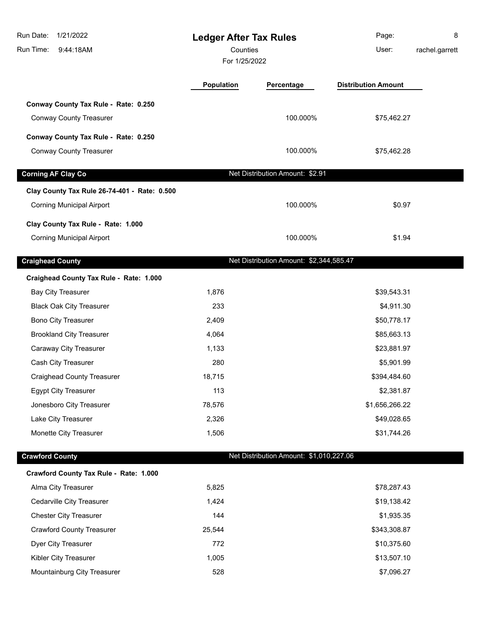| Run Date:<br>1/21/2022<br>Run Time:<br>9:44:18AM                       | <b>Ledger After Tax Rules</b><br>Counties<br>For 1/25/2022 |                                         | Page:<br>User:             | 8<br>rachel.garrett |
|------------------------------------------------------------------------|------------------------------------------------------------|-----------------------------------------|----------------------------|---------------------|
|                                                                        | <b>Population</b>                                          | Percentage                              | <b>Distribution Amount</b> |                     |
| Conway County Tax Rule - Rate: 0.250                                   |                                                            |                                         |                            |                     |
| <b>Conway County Treasurer</b>                                         |                                                            | 100.000%                                | \$75,462.27                |                     |
| Conway County Tax Rule - Rate: 0.250                                   |                                                            |                                         |                            |                     |
| <b>Conway County Treasurer</b>                                         |                                                            | 100.000%                                | \$75,462.28                |                     |
| <b>Corning AF Clay Co</b>                                              |                                                            | Net Distribution Amount: \$2.91         |                            |                     |
| Clay County Tax Rule 26-74-401 - Rate: 0.500                           |                                                            |                                         |                            |                     |
| <b>Corning Municipal Airport</b>                                       |                                                            | 100.000%                                | \$0.97                     |                     |
|                                                                        |                                                            |                                         |                            |                     |
| Clay County Tax Rule - Rate: 1.000<br><b>Corning Municipal Airport</b> |                                                            | 100.000%                                | \$1.94                     |                     |
|                                                                        |                                                            |                                         |                            |                     |
| <b>Craighead County</b>                                                |                                                            | Net Distribution Amount: \$2,344,585.47 |                            |                     |
| Craighead County Tax Rule - Rate: 1.000                                |                                                            |                                         |                            |                     |
| <b>Bay City Treasurer</b>                                              | 1,876                                                      |                                         | \$39,543.31                |                     |
| <b>Black Oak City Treasurer</b>                                        | 233                                                        |                                         | \$4,911.30                 |                     |
| Bono City Treasurer                                                    | 2,409                                                      |                                         | \$50,778.17                |                     |
| <b>Brookland City Treasurer</b>                                        | 4,064                                                      |                                         | \$85,663.13                |                     |
| Caraway City Treasurer                                                 | 1,133                                                      |                                         | \$23,881.97                |                     |
| Cash City Treasurer                                                    | 280                                                        |                                         | \$5,901.99                 |                     |
| <b>Craighead County Treasurer</b>                                      | 18,715                                                     |                                         | \$394,484.60               |                     |
| <b>Egypt City Treasurer</b>                                            | 113                                                        |                                         | \$2,381.87                 |                     |
| Jonesboro City Treasurer                                               | 78,576                                                     |                                         | \$1,656,266.22             |                     |
| Lake City Treasurer                                                    | 2,326                                                      |                                         | \$49,028.65                |                     |
| Monette City Treasurer                                                 | 1,506                                                      |                                         | \$31,744.26                |                     |
| <b>Crawford County</b>                                                 |                                                            | Net Distribution Amount: \$1,010,227.06 |                            |                     |
| Crawford County Tax Rule - Rate: 1.000                                 |                                                            |                                         |                            |                     |
| Alma City Treasurer                                                    | 5,825                                                      |                                         | \$78,287.43                |                     |
| Cedarville City Treasurer                                              | 1,424                                                      |                                         | \$19,138.42                |                     |
| <b>Chester City Treasurer</b>                                          | 144                                                        |                                         | \$1,935.35                 |                     |
| <b>Crawford County Treasurer</b>                                       | 25,544                                                     |                                         | \$343,308.87               |                     |
| Dyer City Treasurer                                                    | 772                                                        |                                         | \$10,375.60                |                     |
| Kibler City Treasurer                                                  | 1,005                                                      |                                         | \$13,507.10                |                     |
| Mountainburg City Treasurer                                            | 528                                                        |                                         | \$7,096.27                 |                     |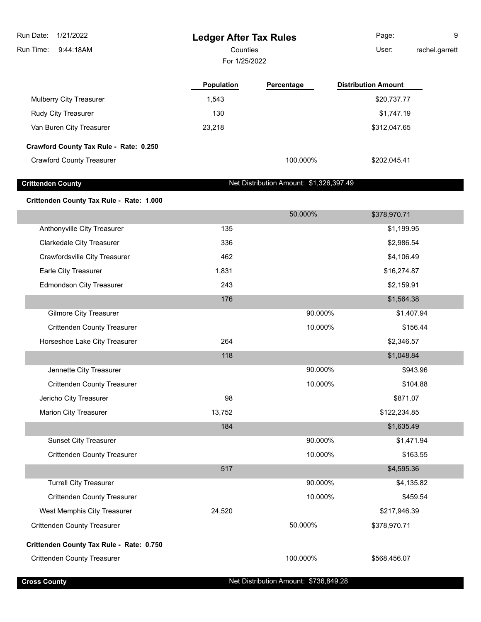**Ledger After Tax Rules** 9:44:18AM Run Time: Run Date: 1/21/2022 For 1/25/2022 Counties **Counties** User: Page: 9 rachel.garrett **Population Percentage Distribution Amount** Mulberry City Treasurer 1,543 \$20,737.77 \$20,737.77 Rudy City Treasurer 130 **but a struck of the City City Treasurer 130 but a struck of the City City Treasurer** 51,747.19 Van Buren City Treasurer 23,218 \$312,047.65 **Crawford County Tax Rule - Rate: 0.250** Crawford County Treasurer 100.000% \$202,045.41 **Crittenden County Net Distribution Amount: \$1,326,397.49 Crittenden County Tax Rule - Rate: 1.000** 50.000% \$378,970.71 Anthonyville City Treasurer 135 **Anthonyville City Treasurer** 135 Clarkedale City Treasurer 336 \$2,986.54 Crawfordsville City Treasurer 1988 106.49 (106.49  $\overline{a}$  462 \$4,106.49 Earle City Treasurer 1,831 \$16,274.87 Edmondson City Treasurer 243 **243** \$2,159.91 176 \$1,564.38 Gilmore City Treasurer 60 and the control of the control of the control of the control of the control of the control of the control of the control of the control of the control of the control of the control of the control Crittenden County Treasurer 10.000% \$156.44 Horseshoe Lake City Treasurer 264 264 \$2,346.57 118 \$1,048.84 Jennette City Treasurer 90.000% \$943.96 Crittenden County Treasurer 10.000% \$104.88 Jericho City Treasurer 98 \$871.07 Marion City Treasurer 13,752 \$122,234.85 184 \$1,635.49 Sunset City Treasurer 60 and the state of the state of the state of the 90.000% \$1,471.94 Crittenden County Treasurer 10.000% \$163.55 517 \$4,595.36 Turrell City Treasurer 90.000% \$4,135.82 Crittenden County Treasurer 10.000% \$459.54 West Memphis City Treasurer 1990 10 24,520 10:00 10:00 10:00 10:00 10:00 10:00 10:00 10:00 10:00 10:00 10:00 10:00 10:00 10:00 10:00 10:00 10:00 10:00 10:00 10:00 10:00 10:00 10:00 10:00 10:00 10:00 10:00 10:00 10:00 10:00 Crittenden County Treasurer 50.000% \$378,970.71

### **Crittenden County Tax Rule - Rate: 0.750**

Crittenden County Treasurer 100.000% \$568,456.07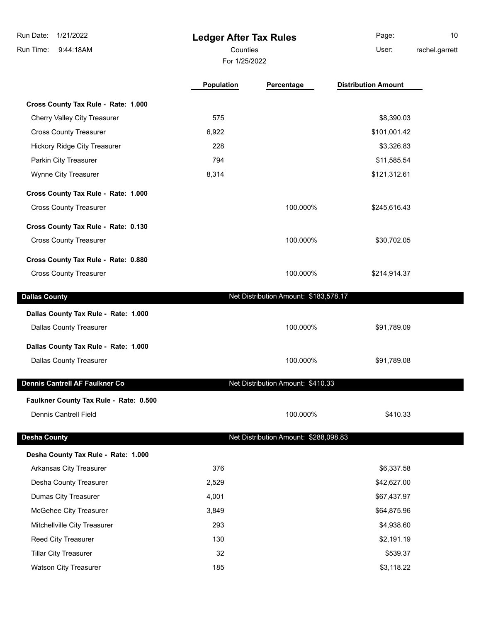**Ledger After Tax Rules** 9:44:18AM Run Time: Run Date: 1/21/2022 For 1/25/2022 Counties **Counties** User: Page: 10 rachel.garrett **Population Percentage Distribution Amount Cross County Tax Rule - Rate: 1.000** Cherry Valley City Treasurer 6. The control of the state of the state of the state of the state of the state of the state of the state of the state of the state of the state of the state of the state of the state of the st Cross County Treasurer 6,922 \$101,001.42 Hickory Ridge City Treasurer 228 **33,326.83** \$3,326.83 Parkin City Treasurer **1994 11,585.54** \$11,585.54 Wynne City Treasurer 1988 121,312.61 **Cross County Tax Rule - Rate: 1.000** Cross County Treasurer 100.000% \$245,616.43 **Cross County Tax Rule - Rate: 0.130** Cross County Treasurer 100.000% \$30,702.05 **Cross County Tax Rule - Rate: 0.880** Cross County Treasurer **100.000%** \$214,914.37 **Dallas County Dallas County Net Distribution Amount: \$183,578.17 Dallas County Tax Rule - Rate: 1.000** Dallas County Treasurer **100.000%** \$91,789.09 **Dallas County Tax Rule - Rate: 1.000** Dallas County Treasurer **100.000%** \$91,789.08 **Dennis Cantrell AF Faulkner Co** Net Distribution Amount: \$410.33 **Faulkner County Tax Rule - Rate: 0.500** Dennis Cantrell Field 100.000% \$410.33 **Desha County Net Distribution Amount: \$288,098.83 Desha County Tax Rule - Rate: 1.000** Arkansas City Treasurer 376 \$6,337.58 Desha County Treasurer 2,529 \$42,627.00 Dumas City Treasurer and the control of the 4,001 to the control of the 4,001 to the 4 set of the 4 set of the  $4,001$ McGehee City Treasurer 3,849 \$64,875.96 Mitchellville City Treasurer 293 \$4,938.60 Reed City Treasurer 130 **130** \$2,191.19 \$2,191.19 Tillar City Treasurer 32 \$539.37 Watson City Treasurer 185 **185** \$3,118.22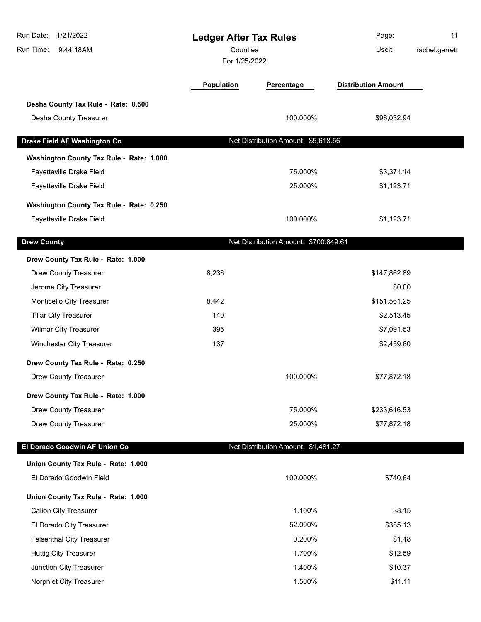| Run Date:<br>1/21/2022<br>Run Time:<br>9:44:18AM | <b>Ledger After Tax Rules</b><br>Counties<br>For 1/25/2022 |                                       | Page:<br>User:             | 11<br>rachel.garrett |
|--------------------------------------------------|------------------------------------------------------------|---------------------------------------|----------------------------|----------------------|
|                                                  | Population                                                 | Percentage                            | <b>Distribution Amount</b> |                      |
| Desha County Tax Rule - Rate: 0.500              |                                                            |                                       |                            |                      |
| Desha County Treasurer                           |                                                            | 100.000%                              | \$96,032.94                |                      |
| Drake Field AF Washington Co                     |                                                            | Net Distribution Amount: \$5,618.56   |                            |                      |
| Washington County Tax Rule - Rate: 1.000         |                                                            |                                       |                            |                      |
| Fayetteville Drake Field                         |                                                            | 75.000%                               | \$3,371.14                 |                      |
| Fayetteville Drake Field                         |                                                            | 25.000%                               | \$1,123.71                 |                      |
| Washington County Tax Rule - Rate: 0.250         |                                                            |                                       |                            |                      |
| Fayetteville Drake Field                         |                                                            | 100.000%                              | \$1,123.71                 |                      |
| <b>Drew County</b>                               |                                                            | Net Distribution Amount: \$700,849.61 |                            |                      |
| Drew County Tax Rule - Rate: 1.000               |                                                            |                                       |                            |                      |
| <b>Drew County Treasurer</b>                     | 8,236                                                      |                                       | \$147,862.89               |                      |
| Jerome City Treasurer                            |                                                            |                                       | \$0.00                     |                      |
| Monticello City Treasurer                        | 8,442                                                      |                                       | \$151,561.25               |                      |
| <b>Tillar City Treasurer</b>                     | 140                                                        |                                       | \$2,513.45                 |                      |
| <b>Wilmar City Treasurer</b>                     | 395                                                        |                                       | \$7,091.53                 |                      |
| Winchester City Treasurer                        | 137                                                        |                                       | \$2,459.60                 |                      |
| Drew County Tax Rule - Rate: 0.250               |                                                            |                                       |                            |                      |
| Drew County Treasurer                            |                                                            | 100.000%                              | \$77,872.18                |                      |
| Drew County Tax Rule - Rate: 1.000               |                                                            |                                       |                            |                      |
| <b>Drew County Treasurer</b>                     |                                                            | 75.000%                               | \$233,616.53               |                      |
| <b>Drew County Treasurer</b>                     |                                                            | 25.000%                               | \$77,872.18                |                      |
| El Dorado Goodwin AF Union Co                    |                                                            | Net Distribution Amount: \$1,481.27   |                            |                      |
| Union County Tax Rule - Rate: 1.000              |                                                            |                                       |                            |                      |
| El Dorado Goodwin Field                          |                                                            | 100.000%                              | \$740.64                   |                      |
| Union County Tax Rule - Rate: 1.000              |                                                            |                                       |                            |                      |
| <b>Calion City Treasurer</b>                     |                                                            | 1.100%                                | \$8.15                     |                      |
| El Dorado City Treasurer                         |                                                            | 52.000%                               | \$385.13                   |                      |
| <b>Felsenthal City Treasurer</b>                 |                                                            | 0.200%                                | \$1.48                     |                      |
| <b>Huttig City Treasurer</b>                     |                                                            | 1.700%                                | \$12.59                    |                      |
| Junction City Treasurer                          |                                                            | 1.400%                                | \$10.37                    |                      |
| Norphlet City Treasurer                          |                                                            | 1.500%                                | \$11.11                    |                      |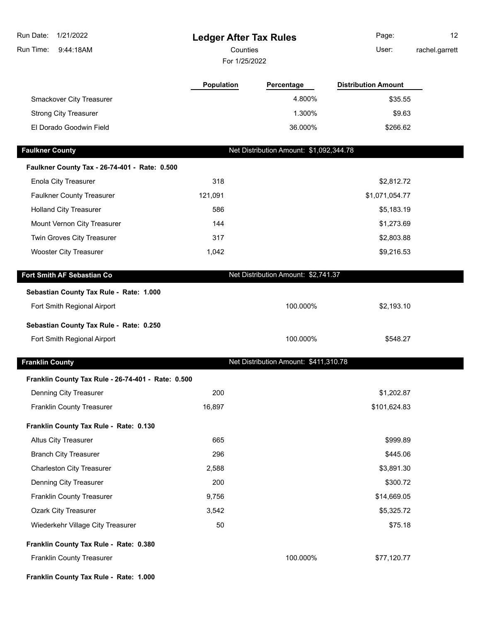| 1/21/2022<br>Run Date:                             | <b>Ledger After Tax Rules</b> |                                         | Page:                      | 12             |
|----------------------------------------------------|-------------------------------|-----------------------------------------|----------------------------|----------------|
| Run Time:<br>9:44:18AM                             | Counties                      |                                         | User:                      | rachel.garrett |
|                                                    | For 1/25/2022                 |                                         |                            |                |
|                                                    | <b>Population</b>             | Percentage                              | <b>Distribution Amount</b> |                |
| Smackover City Treasurer                           |                               | 4.800%                                  | \$35.55                    |                |
| <b>Strong City Treasurer</b>                       |                               | 1.300%                                  | \$9.63                     |                |
| El Dorado Goodwin Field                            |                               | 36.000%                                 | \$266.62                   |                |
| <b>Faulkner County</b>                             |                               | Net Distribution Amount: \$1,092,344.78 |                            |                |
| Faulkner County Tax - 26-74-401 - Rate: 0.500      |                               |                                         |                            |                |
| <b>Enola City Treasurer</b>                        | 318                           |                                         | \$2,812.72                 |                |
| <b>Faulkner County Treasurer</b>                   | 121,091                       |                                         | \$1,071,054.77             |                |
| <b>Holland City Treasurer</b>                      | 586                           |                                         | \$5,183.19                 |                |
| Mount Vernon City Treasurer                        | 144                           |                                         | \$1,273.69                 |                |
| Twin Groves City Treasurer                         | 317                           |                                         | \$2,803.88                 |                |
| <b>Wooster City Treasurer</b>                      | 1,042                         |                                         | \$9,216.53                 |                |
| Fort Smith AF Sebastian Co                         |                               | Net Distribution Amount: \$2,741.37     |                            |                |
| Sebastian County Tax Rule - Rate: 1.000            |                               |                                         |                            |                |
| Fort Smith Regional Airport                        |                               | 100.000%                                | \$2,193.10                 |                |
| Sebastian County Tax Rule - Rate: 0.250            |                               |                                         |                            |                |
| Fort Smith Regional Airport                        |                               | 100.000%                                | \$548.27                   |                |
| <b>Franklin County</b>                             |                               | Net Distribution Amount: \$411,310.78   |                            |                |
| Franklin County Tax Rule - 26-74-401 - Rate: 0.500 |                               |                                         |                            |                |
| Denning City Treasurer                             | 200                           |                                         | \$1,202.87                 |                |
| <b>Franklin County Treasurer</b>                   | 16,897                        |                                         | \$101,624.83               |                |
| Franklin County Tax Rule - Rate: 0.130             |                               |                                         |                            |                |
| <b>Altus City Treasurer</b>                        | 665                           |                                         | \$999.89                   |                |
| <b>Branch City Treasurer</b>                       | 296                           |                                         | \$445.06                   |                |
| <b>Charleston City Treasurer</b>                   | 2,588                         |                                         | \$3,891.30                 |                |
| Denning City Treasurer                             | 200                           |                                         | \$300.72                   |                |
| Franklin County Treasurer                          | 9,756                         |                                         | \$14,669.05                |                |
| <b>Ozark City Treasurer</b>                        | 3,542                         |                                         | \$5,325.72                 |                |
| Wiederkehr Village City Treasurer                  | 50                            |                                         | \$75.18                    |                |
| Franklin County Tax Rule - Rate: 0.380             |                               |                                         |                            |                |
| Franklin County Treasurer                          |                               | 100.000%                                | \$77,120.77                |                |
| Franklin County Tax Rule - Rate: 1.000             |                               |                                         |                            |                |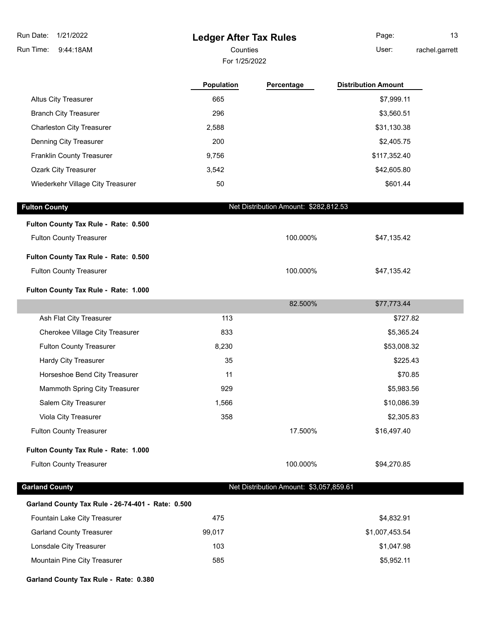**Ledger After Tax Rules** 9:44:18AM Run Time: Run Date: 1/21/2022 For 1/25/2022 Counties **User:** 

|                                   | <b>Population</b> | Percentage | <b>Distribution Amount</b> |
|-----------------------------------|-------------------|------------|----------------------------|
| <b>Altus City Treasurer</b>       | 665               |            | \$7,999.11                 |
| <b>Branch City Treasurer</b>      | 296               |            | \$3,560.51                 |
| <b>Charleston City Treasurer</b>  | 2,588             |            | \$31,130.38                |
| Denning City Treasurer            | 200               |            | \$2,405.75                 |
| <b>Franklin County Treasurer</b>  | 9,756             |            | \$117,352.40               |
| <b>Ozark City Treasurer</b>       | 3,542             |            | \$42,605.80                |
| Wiederkehr Village City Treasurer | 50                |            | \$601.44                   |

| <b>Fulton County</b>                 | Net Distribution Amount: \$282,812.53 |                                         |             |  |
|--------------------------------------|---------------------------------------|-----------------------------------------|-------------|--|
| Fulton County Tax Rule - Rate: 0.500 |                                       |                                         |             |  |
| <b>Fulton County Treasurer</b>       |                                       | 100.000%                                | \$47,135.42 |  |
| Fulton County Tax Rule - Rate: 0.500 |                                       |                                         |             |  |
| <b>Fulton County Treasurer</b>       |                                       | 100.000%                                | \$47,135.42 |  |
| Fulton County Tax Rule - Rate: 1.000 |                                       |                                         |             |  |
|                                      |                                       | 82.500%                                 | \$77,773.44 |  |
| Ash Flat City Treasurer              | 113                                   |                                         | \$727.82    |  |
| Cherokee Village City Treasurer      | 833                                   |                                         | \$5,365.24  |  |
| <b>Fulton County Treasurer</b>       | 8,230                                 |                                         | \$53,008.32 |  |
| Hardy City Treasurer                 | 35                                    |                                         | \$225.43    |  |
| Horseshoe Bend City Treasurer        | 11                                    |                                         | \$70.85     |  |
| Mammoth Spring City Treasurer        | 929                                   |                                         | \$5,983.56  |  |
| Salem City Treasurer                 | 1,566                                 |                                         | \$10,086.39 |  |
| Viola City Treasurer                 | 358                                   |                                         | \$2,305.83  |  |
| <b>Fulton County Treasurer</b>       |                                       | 17.500%                                 | \$16,497.40 |  |
| Fulton County Tax Rule - Rate: 1.000 |                                       |                                         |             |  |
| <b>Fulton County Treasurer</b>       |                                       | 100.000%                                | \$94,270.85 |  |
| <b>Garland County</b>                |                                       | Net Distribution Amount: \$3,057,859.61 |             |  |
|                                      |                                       |                                         |             |  |

| Garland County Tax Rule - 26-74-401 - Rate: 0.500 |        |                |  |  |  |
|---------------------------------------------------|--------|----------------|--|--|--|
| <b>Fountain Lake City Treasurer</b>               | 475    | \$4.832.91     |  |  |  |
| <b>Garland County Treasurer</b>                   | 99.017 | \$1,007,453.54 |  |  |  |
| Lonsdale City Treasurer                           | 103    | \$1,047.98     |  |  |  |
| <b>Mountain Pine City Treasurer</b>               | 585    | \$5.952.11     |  |  |  |

**Garland County Tax Rule - Rate: 0.380**

I

Page: 13 rachel.garrett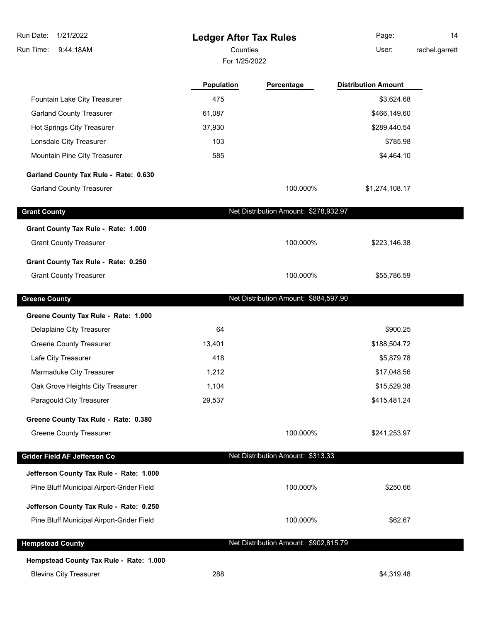| Run Date:<br>1/21/2022                                               | <b>Ledger After Tax Rules</b> |                                       | Page:                      | 14             |
|----------------------------------------------------------------------|-------------------------------|---------------------------------------|----------------------------|----------------|
| Run Time:<br>9:44:18AM                                               | Counties                      |                                       | User:                      | rachel.garrett |
|                                                                      | For 1/25/2022                 |                                       |                            |                |
|                                                                      | <b>Population</b>             | Percentage                            | <b>Distribution Amount</b> |                |
| Fountain Lake City Treasurer                                         | 475                           |                                       | \$3,624.68                 |                |
| <b>Garland County Treasurer</b>                                      | 61,087                        |                                       | \$466,149.60               |                |
| Hot Springs City Treasurer                                           | 37,930                        |                                       | \$289,440.54               |                |
| Lonsdale City Treasurer                                              | 103                           |                                       | \$785.98                   |                |
| Mountain Pine City Treasurer                                         | 585                           |                                       | \$4,464.10                 |                |
| Garland County Tax Rule - Rate: 0.630                                |                               |                                       |                            |                |
| <b>Garland County Treasurer</b>                                      |                               | 100.000%                              | \$1,274,108.17             |                |
| <b>Grant County</b>                                                  |                               | Net Distribution Amount: \$278,932.97 |                            |                |
| Grant County Tax Rule - Rate: 1.000                                  |                               |                                       |                            |                |
| <b>Grant County Treasurer</b>                                        |                               | 100.000%                              | \$223,146.38               |                |
|                                                                      |                               |                                       |                            |                |
| Grant County Tax Rule - Rate: 0.250<br><b>Grant County Treasurer</b> |                               | 100.000%                              | \$55,786.59                |                |
|                                                                      |                               |                                       |                            |                |
| <b>Greene County</b>                                                 |                               | Net Distribution Amount: \$884,597.90 |                            |                |
| Greene County Tax Rule - Rate: 1.000                                 |                               |                                       |                            |                |
| Delaplaine City Treasurer                                            | 64                            |                                       | \$900.25                   |                |
| <b>Greene County Treasurer</b>                                       | 13,401                        |                                       | \$188,504.72               |                |
| Lafe City Treasurer                                                  | 418                           |                                       | \$5,879.78                 |                |
| Marmaduke City Treasurer                                             | 1,212                         |                                       | \$17,048.56                |                |
| Oak Grove Heights City Treasurer                                     | 1,104                         |                                       | \$15,529.38                |                |
| Paragould City Treasurer                                             | 29,537                        |                                       | \$415,481.24               |                |
| Greene County Tax Rule - Rate: 0.380                                 |                               |                                       |                            |                |
| <b>Greene County Treasurer</b>                                       |                               | 100.000%                              | \$241,253.97               |                |
| Grider Field AF Jefferson Co                                         |                               | Net Distribution Amount: \$313.33     |                            |                |
| Jefferson County Tax Rule - Rate: 1.000                              |                               |                                       |                            |                |
| Pine Bluff Municipal Airport-Grider Field                            |                               | 100.000%                              | \$250.66                   |                |
| Jefferson County Tax Rule - Rate: 0.250                              |                               |                                       |                            |                |
| Pine Bluff Municipal Airport-Grider Field                            |                               | 100.000%                              | \$62.67                    |                |
|                                                                      |                               | Net Distribution Amount: \$902,815.79 |                            |                |
| <b>Hempstead County</b>                                              |                               |                                       |                            |                |
| Hempstead County Tax Rule - Rate: 1.000                              |                               |                                       |                            |                |
| <b>Blevins City Treasurer</b>                                        | 288                           |                                       | \$4,319.48                 |                |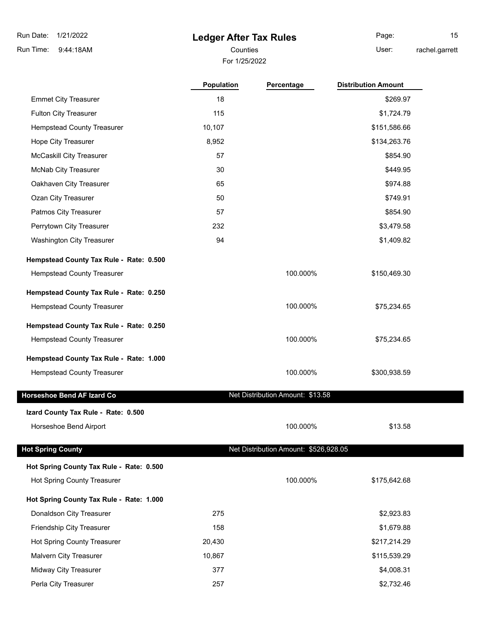9:44:18AM Run Time:

## **Ledger After Tax Rules**

For 1/25/2022 Counties **User:** 

Page: 15 rachel.garrett

|                                          | <b>Population</b> | Percentage                            | <b>Distribution Amount</b> |
|------------------------------------------|-------------------|---------------------------------------|----------------------------|
| <b>Emmet City Treasurer</b>              | 18                |                                       | \$269.97                   |
| <b>Fulton City Treasurer</b>             | 115               |                                       | \$1,724.79                 |
| <b>Hempstead County Treasurer</b>        | 10,107            |                                       | \$151,586.66               |
| Hope City Treasurer                      | 8,952             |                                       | \$134,263.76               |
| <b>McCaskill City Treasurer</b>          | 57                |                                       | \$854.90                   |
| McNab City Treasurer                     | 30                |                                       | \$449.95                   |
| Oakhaven City Treasurer                  | 65                |                                       | \$974.88                   |
| Ozan City Treasurer                      | 50                |                                       | \$749.91                   |
| Patmos City Treasurer                    | 57                |                                       | \$854.90                   |
| Perrytown City Treasurer                 | 232               |                                       | \$3,479.58                 |
| <b>Washington City Treasurer</b>         | 94                |                                       | \$1,409.82                 |
| Hempstead County Tax Rule - Rate: 0.500  |                   |                                       |                            |
| Hempstead County Treasurer               |                   | 100.000%                              | \$150,469.30               |
| Hempstead County Tax Rule - Rate: 0.250  |                   |                                       |                            |
| Hempstead County Treasurer               |                   | 100.000%                              | \$75,234.65                |
| Hempstead County Tax Rule - Rate: 0.250  |                   |                                       |                            |
| Hempstead County Treasurer               |                   | 100.000%                              | \$75,234.65                |
| Hempstead County Tax Rule - Rate: 1.000  |                   |                                       |                            |
| <b>Hempstead County Treasurer</b>        |                   | 100.000%                              | \$300,938.59               |
| <b>Horseshoe Bend AF Izard Co</b>        |                   | Net Distribution Amount: \$13.58      |                            |
| Izard County Tax Rule - Rate: 0.500      |                   |                                       |                            |
| Horseshoe Bend Airport                   |                   | 100.000%                              | \$13.58                    |
| <b>Hot Spring County</b>                 |                   | Net Distribution Amount: \$526,928.05 |                            |
| Hot Spring County Tax Rule - Rate: 0.500 |                   |                                       |                            |
| <b>Hot Spring County Treasurer</b>       |                   | 100.000%                              | \$175,642.68               |

**Hot Spring County Tax Rule - Rate: 1.000**

| Donaldson City Treasurer           | 275    | \$2,923.83   |
|------------------------------------|--------|--------------|
| <b>Friendship City Treasurer</b>   | 158    | \$1,679.88   |
| <b>Hot Spring County Treasurer</b> | 20.430 | \$217,214.29 |
| <b>Malvern City Treasurer</b>      | 10.867 | \$115,539.29 |
| <b>Midway City Treasurer</b>       | 377    | \$4,008.31   |
| Perla City Treasurer               | 257    | \$2,732.46   |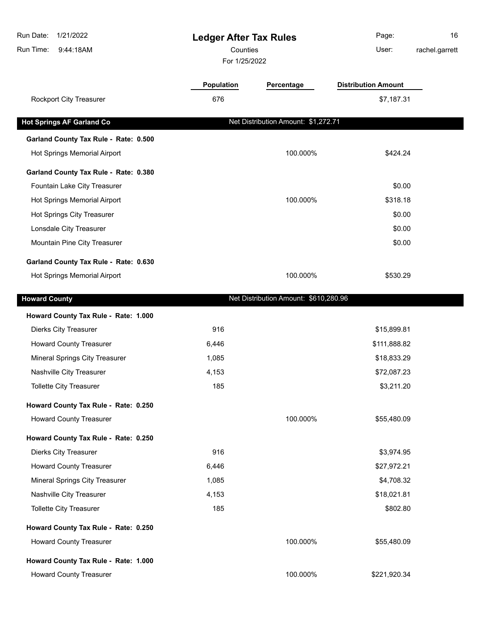| Run Date:<br>1/21/2022<br>Run Time:<br>9:44:18AM |                   | <b>Ledger After Tax Rules</b><br>Counties<br>For 1/25/2022 |                            | 16<br>rachel.garrett |
|--------------------------------------------------|-------------------|------------------------------------------------------------|----------------------------|----------------------|
|                                                  | <b>Population</b> | Percentage                                                 | <b>Distribution Amount</b> |                      |
| Rockport City Treasurer                          | 676               |                                                            | \$7,187.31                 |                      |
| <b>Hot Springs AF Garland Co</b>                 |                   | Net Distribution Amount: \$1,272.71                        |                            |                      |
| Garland County Tax Rule - Rate: 0.500            |                   |                                                            |                            |                      |
| Hot Springs Memorial Airport                     |                   | 100.000%                                                   | \$424.24                   |                      |
| Garland County Tax Rule - Rate: 0.380            |                   |                                                            |                            |                      |
| Fountain Lake City Treasurer                     |                   |                                                            | \$0.00                     |                      |
| Hot Springs Memorial Airport                     |                   | 100.000%                                                   | \$318.18                   |                      |
| Hot Springs City Treasurer                       |                   |                                                            | \$0.00                     |                      |
| Lonsdale City Treasurer                          |                   |                                                            | \$0.00                     |                      |
| Mountain Pine City Treasurer                     |                   |                                                            | \$0.00                     |                      |
| Garland County Tax Rule - Rate: 0.630            |                   |                                                            |                            |                      |
| Hot Springs Memorial Airport                     |                   | 100.000%                                                   | \$530.29                   |                      |
| <b>Howard County</b>                             |                   | Net Distribution Amount: \$610,280.96                      |                            |                      |
| Howard County Tax Rule - Rate: 1.000             |                   |                                                            |                            |                      |
| <b>Dierks City Treasurer</b>                     | 916               |                                                            | \$15,899.81                |                      |
| <b>Howard County Treasurer</b>                   | 6,446             |                                                            | \$111,888.82               |                      |
| Mineral Springs City Treasurer                   | 1,085             |                                                            | \$18,833.29                |                      |
| Nashville City Treasurer                         | 4,153             |                                                            | \$72,087.23                |                      |
| Tollette City Treasurer                          | 185               |                                                            | \$3,211.20                 |                      |
| Howard County Tax Rule - Rate: 0.250             |                   |                                                            |                            |                      |
| <b>Howard County Treasurer</b>                   |                   | 100.000%                                                   | \$55,480.09                |                      |
| Howard County Tax Rule - Rate: 0.250             |                   |                                                            |                            |                      |
| <b>Dierks City Treasurer</b>                     | 916               |                                                            | \$3,974.95                 |                      |
| <b>Howard County Treasurer</b>                   | 6,446             |                                                            | \$27,972.21                |                      |
| Mineral Springs City Treasurer                   | 1,085             |                                                            | \$4,708.32                 |                      |
| Nashville City Treasurer                         | 4,153             |                                                            | \$18,021.81                |                      |
| Tollette City Treasurer                          | 185               |                                                            | \$802.80                   |                      |
| Howard County Tax Rule - Rate: 0.250             |                   |                                                            |                            |                      |
| <b>Howard County Treasurer</b>                   |                   | 100.000%                                                   | \$55,480.09                |                      |
| Howard County Tax Rule - Rate: 1.000             |                   |                                                            |                            |                      |
| <b>Howard County Treasurer</b>                   |                   | 100.000%                                                   | \$221,920.34               |                      |
|                                                  |                   |                                                            |                            |                      |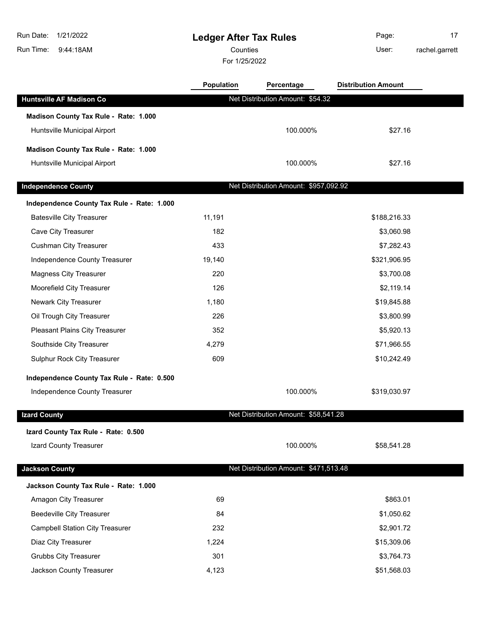9:44:18AM Run Time:

# **Ledger After Tax Rules**

Counties **User:** 

For 1/25/2022

Page: 17 rachel.garrett

|                                            | <b>Population</b> | Percentage                            | <b>Distribution Amount</b> |  |
|--------------------------------------------|-------------------|---------------------------------------|----------------------------|--|
| Huntsville AF Madison Co                   |                   | Net Distribution Amount: \$54.32      |                            |  |
| Madison County Tax Rule - Rate: 1.000      |                   |                                       |                            |  |
| Huntsville Municipal Airport               |                   | 100.000%                              | \$27.16                    |  |
| Madison County Tax Rule - Rate: 1.000      |                   |                                       |                            |  |
| Huntsville Municipal Airport               |                   | 100.000%                              | \$27.16                    |  |
| <b>Independence County</b>                 |                   | Net Distribution Amount: \$957,092.92 |                            |  |
| Independence County Tax Rule - Rate: 1.000 |                   |                                       |                            |  |
| <b>Batesville City Treasurer</b>           | 11,191            |                                       | \$188,216.33               |  |
| Cave City Treasurer                        | 182               |                                       | \$3,060.98                 |  |
| <b>Cushman City Treasurer</b>              | 433               |                                       | \$7,282.43                 |  |
| Independence County Treasurer              | 19,140            |                                       | \$321,906.95               |  |
| <b>Magness City Treasurer</b>              | 220               |                                       | \$3,700.08                 |  |
| Moorefield City Treasurer                  | 126               |                                       | \$2,119.14                 |  |
| Newark City Treasurer                      | 1,180             |                                       | \$19,845.88                |  |
| Oil Trough City Treasurer                  | 226               |                                       | \$3,800.99                 |  |
| Pleasant Plains City Treasurer             | 352               |                                       | \$5,920.13                 |  |
| Southside City Treasurer                   | 4,279             |                                       | \$71,966.55                |  |
| Sulphur Rock City Treasurer                | 609               |                                       | \$10,242.49                |  |
| Independence County Tax Rule - Rate: 0.500 |                   |                                       |                            |  |
| Independence County Treasurer              |                   | 100.000%                              | \$319,030.97               |  |
| <b>Izard County</b>                        |                   | Net Distribution Amount: \$58,541.28  |                            |  |
| Izard County Tax Rule - Rate: 0.500        |                   |                                       |                            |  |
| Izard County Treasurer                     |                   | 100.000%                              | \$58,541.28                |  |
| <b>Jackson County</b>                      |                   | Net Distribution Amount: \$471,513.48 |                            |  |
| Jackson County Tax Rule - Rate: 1.000      |                   |                                       |                            |  |
| Amagon City Treasurer                      | 69                |                                       | \$863.01                   |  |
| <b>Beedeville City Treasurer</b>           | 84                |                                       | \$1,050.62                 |  |
| <b>Campbell Station City Treasurer</b>     | 232               |                                       | \$2,901.72                 |  |
| Diaz City Treasurer                        | 1,224             |                                       | \$15,309.06                |  |
| <b>Grubbs City Treasurer</b>               | 301               |                                       | \$3,764.73                 |  |
| Jackson County Treasurer                   | 4,123             |                                       | \$51,568.03                |  |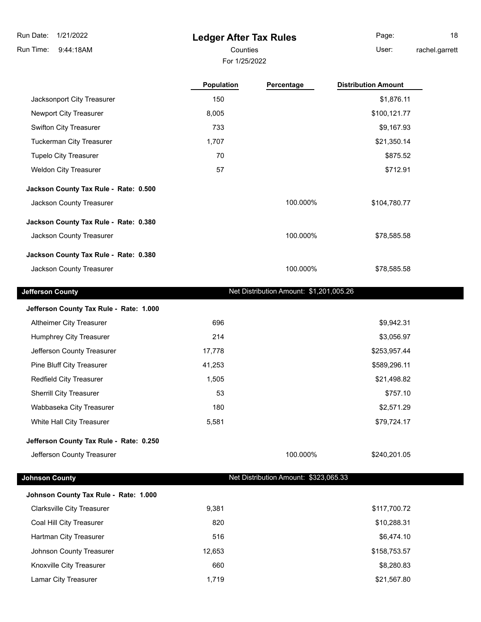## **Ledger After Tax Rules**

For 1/25/2022

Counties **User:** 

rachel.garrett

|                                         | Population | Percentage                              | <b>Distribution Amount</b> |
|-----------------------------------------|------------|-----------------------------------------|----------------------------|
| Jacksonport City Treasurer              | 150        |                                         | \$1,876.11                 |
| Newport City Treasurer                  | 8,005      |                                         | \$100,121.77               |
| <b>Swifton City Treasurer</b>           | 733        |                                         | \$9,167.93                 |
| <b>Tuckerman City Treasurer</b>         | 1,707      |                                         | \$21,350.14                |
| <b>Tupelo City Treasurer</b>            | 70         |                                         | \$875.52                   |
| <b>Weldon City Treasurer</b>            | 57         |                                         | \$712.91                   |
| Jackson County Tax Rule - Rate: 0.500   |            |                                         |                            |
| Jackson County Treasurer                |            | 100.000%                                | \$104,780.77               |
| Jackson County Tax Rule - Rate: 0.380   |            |                                         |                            |
| Jackson County Treasurer                |            | 100.000%                                | \$78,585.58                |
| Jackson County Tax Rule - Rate: 0.380   |            |                                         |                            |
| Jackson County Treasurer                |            | 100.000%                                | \$78,585.58                |
| <b>Jefferson County</b>                 |            | Net Distribution Amount: \$1,201,005.26 |                            |
| Jefferson County Tax Rule - Rate: 1.000 |            |                                         |                            |
| Altheimer City Treasurer                | 696        |                                         | \$9,942.31                 |
| Humphrey City Treasurer                 | 214        |                                         | \$3,056.97                 |
| Jefferson County Treasurer              | 17,778     |                                         | \$253,957.44               |
| Pine Bluff City Treasurer               | 41,253     |                                         | \$589,296.11               |
| Redfield City Treasurer                 | 1,505      |                                         | \$21,498.82                |
| <b>Sherrill City Treasurer</b>          | 53         |                                         | \$757.10                   |
| Wabbaseka City Treasurer                | 180        |                                         | \$2,571.29                 |
| White Hall City Treasurer               | 5,581      |                                         | \$79,724.17                |
| Jefferson County Tax Rule - Rate: 0.250 |            |                                         |                            |
| Jefferson County Treasurer              |            | 100.000%                                | \$240,201.05               |
| <b>Johnson County</b>                   |            | Net Distribution Amount: \$323,065.33   |                            |
| Johnson County Tax Rule - Rate: 1.000   |            |                                         |                            |
| <b>Clarksville City Treasurer</b>       | 9,381      |                                         | \$117,700.72               |
| Coal Hill City Treasurer                | 820        |                                         | \$10,288.31                |
| Hartman City Treasurer                  | 516        |                                         | \$6,474.10                 |
| Johnson County Treasurer                | 12,653     |                                         | \$158,753.57               |
| Knoxville City Treasurer                | 660        |                                         | \$8,280.83                 |

Lamar City Treasurer 1,719 **Accord 1,719 Example 21,567.80** 

Page: 18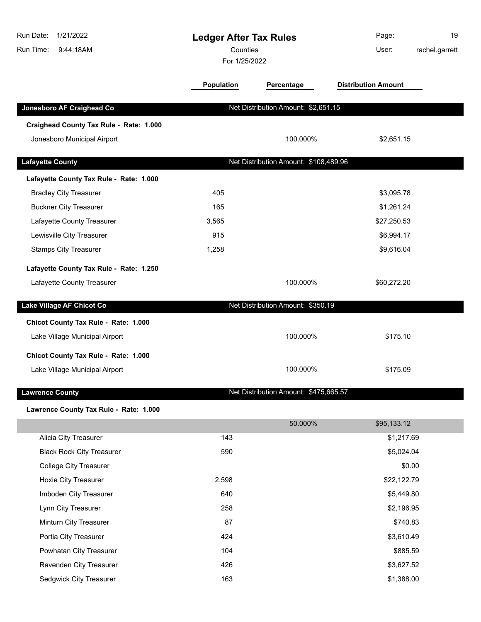| Run Date:<br>1/21/2022<br>Run Time:<br>9:44:18AM | <b>Ledger After Tax Rules</b><br>Counties<br>For 1/25/2022 |                                       | Page:<br>User:             | 19<br>rachel.garrett |
|--------------------------------------------------|------------------------------------------------------------|---------------------------------------|----------------------------|----------------------|
|                                                  | Population                                                 | Percentage                            | <b>Distribution Amount</b> |                      |
| Jonesboro AF Craighead Co                        |                                                            | Net Distribution Amount: \$2,651.15   |                            |                      |
| Craighead County Tax Rule - Rate: 1.000          |                                                            |                                       |                            |                      |
| Jonesboro Municipal Airport                      |                                                            | 100.000%                              | \$2,651.15                 |                      |
| <b>Lafayette County</b>                          |                                                            | Net Distribution Amount: \$108,489.96 |                            |                      |
| Lafayette County Tax Rule - Rate: 1.000          |                                                            |                                       |                            |                      |
| <b>Bradley City Treasurer</b>                    | 405                                                        |                                       | \$3,095.78                 |                      |
| <b>Buckner City Treasurer</b>                    | 165                                                        |                                       | \$1,261.24                 |                      |
| Lafayette County Treasurer                       | 3,565                                                      |                                       | \$27,250.53                |                      |
| Lewisville City Treasurer                        | 915                                                        |                                       | \$6,994.17                 |                      |
| <b>Stamps City Treasurer</b>                     | 1,258                                                      |                                       | \$9,616.04                 |                      |
| Lafayette County Tax Rule - Rate: 1.250          |                                                            |                                       |                            |                      |
| Lafayette County Treasurer                       |                                                            | 100.000%                              | \$60,272.20                |                      |
| Lake Village AF Chicot Co                        |                                                            | Net Distribution Amount: \$350.19     |                            |                      |
| Chicot County Tax Rule - Rate: 1.000             |                                                            |                                       |                            |                      |
| Lake Village Municipal Airport                   |                                                            | 100.000%                              | \$175.10                   |                      |
| Chicot County Tax Rule - Rate: 1.000             |                                                            |                                       |                            |                      |
| Lake Village Municipal Airport                   |                                                            | 100.000%                              | \$175.09                   |                      |
| <b>Lawrence County</b>                           |                                                            | Net Distribution Amount: \$475,665.57 |                            |                      |
| Lawrence County Tax Rule - Rate: 1.000           |                                                            |                                       |                            |                      |
|                                                  |                                                            | 50.000%                               | \$95,133.12                |                      |
| Alicia City Treasurer                            | 143                                                        |                                       | \$1,217.69                 |                      |
| <b>Black Rock City Treasurer</b>                 | 590                                                        |                                       | \$5,024.04                 |                      |
| <b>College City Treasurer</b>                    |                                                            |                                       | \$0.00                     |                      |
| Hoxie City Treasurer                             | 2,598                                                      |                                       | \$22,122.79                |                      |
| Imboden City Treasurer                           | 640                                                        |                                       | \$5,449.80                 |                      |
| Lynn City Treasurer                              | 258                                                        |                                       | \$2,196.95                 |                      |
| Minturn City Treasurer                           | 87                                                         |                                       | \$740.83                   |                      |
| Portia City Treasurer                            | 424                                                        |                                       | \$3,610.49                 |                      |
| Powhatan City Treasurer                          | 104                                                        |                                       | \$885.59                   |                      |
| Ravenden City Treasurer                          | 426                                                        |                                       | \$3,627.52                 |                      |
| Sedgwick City Treasurer                          | 163                                                        |                                       | \$1,388.00                 |                      |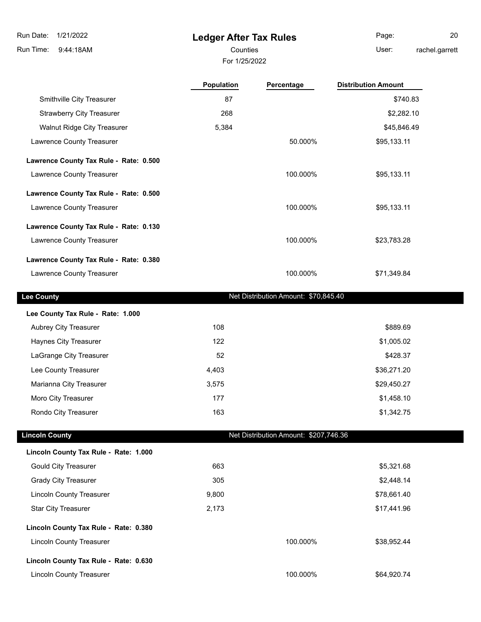# **Ledger After Tax Rules**

Counties User: Page: 20 rachel.garrett

For 1/25/2022

|                                        | Population | Percentage                            | <b>Distribution Amount</b> |
|----------------------------------------|------------|---------------------------------------|----------------------------|
| Smithville City Treasurer              | 87         |                                       | \$740.83                   |
| <b>Strawberry City Treasurer</b>       | 268        |                                       | \$2,282.10                 |
| Walnut Ridge City Treasurer            | 5,384      |                                       | \$45,846.49                |
| Lawrence County Treasurer              |            | 50.000%                               | \$95,133.11                |
| Lawrence County Tax Rule - Rate: 0.500 |            |                                       |                            |
| Lawrence County Treasurer              |            | 100.000%                              | \$95,133.11                |
| Lawrence County Tax Rule - Rate: 0.500 |            |                                       |                            |
| Lawrence County Treasurer              |            | 100.000%                              | \$95,133.11                |
| Lawrence County Tax Rule - Rate: 0.130 |            |                                       |                            |
| Lawrence County Treasurer              |            | 100.000%                              | \$23,783.28                |
| Lawrence County Tax Rule - Rate: 0.380 |            |                                       |                            |
| Lawrence County Treasurer              |            | 100.000%                              | \$71,349.84                |
| <b>Lee County</b>                      |            | Net Distribution Amount: \$70,845.40  |                            |
| Lee County Tax Rule - Rate: 1.000      |            |                                       |                            |
| Aubrey City Treasurer                  | 108        |                                       | \$889.69                   |
| Haynes City Treasurer                  | 122        |                                       | \$1,005.02                 |
| LaGrange City Treasurer                | 52         |                                       | \$428.37                   |
| Lee County Treasurer                   | 4,403      |                                       | \$36,271.20                |
| Marianna City Treasurer                | 3,575      |                                       | \$29,450.27                |
| Moro City Treasurer                    | 177        |                                       | \$1,458.10                 |
| Rondo City Treasurer                   | 163        |                                       | \$1,342.75                 |
| <b>Lincoln County</b>                  |            | Net Distribution Amount: \$207,746.36 |                            |
| Lincoln County Tax Rule - Rate: 1.000  |            |                                       |                            |
| <b>Gould City Treasurer</b>            | 663        |                                       | \$5,321.68                 |
| <b>Grady City Treasurer</b>            | 305        |                                       | \$2,448.14                 |
| <b>Lincoln County Treasurer</b>        | 9,800      |                                       | \$78,661.40                |
| <b>Star City Treasurer</b>             | 2,173      |                                       | \$17,441.96                |
| Lincoln County Tax Rule - Rate: 0.380  |            |                                       |                            |
| <b>Lincoln County Treasurer</b>        |            | 100.000%                              | \$38,952.44                |
| Lincoln County Tax Rule - Rate: 0.630  |            |                                       |                            |
| <b>Lincoln County Treasurer</b>        |            | 100.000%                              | \$64,920.74                |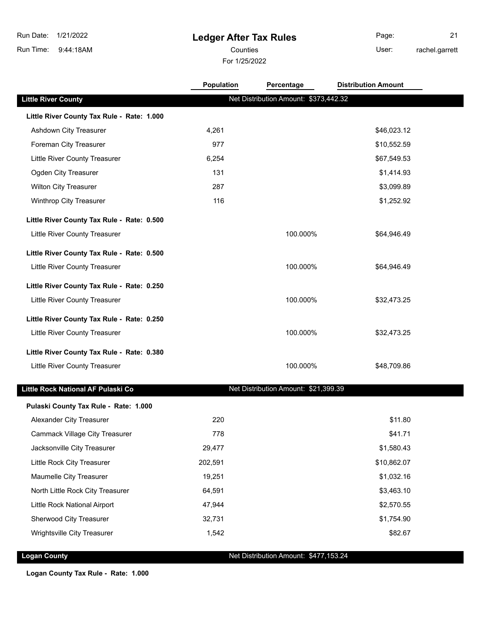## **Ledger After Tax Rules**

For 1/25/2022 Counties User:

Page: 21 rachel.garrett

|                                            | <b>Population</b> | Percentage                            | <b>Distribution Amount</b> |  |
|--------------------------------------------|-------------------|---------------------------------------|----------------------------|--|
| <b>Little River County</b>                 |                   | Net Distribution Amount: \$373,442.32 |                            |  |
| Little River County Tax Rule - Rate: 1.000 |                   |                                       |                            |  |
| Ashdown City Treasurer                     | 4,261             |                                       | \$46,023.12                |  |
| Foreman City Treasurer                     | 977               |                                       | \$10,552.59                |  |
| Little River County Treasurer              | 6,254             |                                       | \$67,549.53                |  |
| Ogden City Treasurer                       | 131               |                                       | \$1,414.93                 |  |
| <b>Wilton City Treasurer</b>               | 287               |                                       | \$3,099.89                 |  |
| Winthrop City Treasurer                    | 116               |                                       | \$1,252.92                 |  |
| Little River County Tax Rule - Rate: 0.500 |                   |                                       |                            |  |
| Little River County Treasurer              |                   | 100.000%                              | \$64,946.49                |  |
| Little River County Tax Rule - Rate: 0.500 |                   |                                       |                            |  |
| Little River County Treasurer              |                   | 100.000%                              | \$64,946.49                |  |
| Little River County Tax Rule - Rate: 0.250 |                   |                                       |                            |  |
| Little River County Treasurer              |                   | 100.000%                              | \$32,473.25                |  |
| Little River County Tax Rule - Rate: 0.250 |                   |                                       |                            |  |
| Little River County Treasurer              |                   | 100.000%                              | \$32,473.25                |  |
| Little River County Tax Rule - Rate: 0.380 |                   |                                       |                            |  |
| Little River County Treasurer              |                   | 100.000%                              | \$48,709.86                |  |
| Little Rock National AF Pulaski Co         |                   | Net Distribution Amount: \$21,399.39  |                            |  |
| Pulaski County Tax Rule - Rate: 1.000      |                   |                                       |                            |  |
| Alexander City Treasurer                   | 220               |                                       | \$11.80                    |  |
| <b>Cammack Village City Treasurer</b>      | 778               |                                       | \$41.71                    |  |
| Jacksonville City Treasurer                | 29,477            |                                       | \$1,580.43                 |  |
| Little Rock City Treasurer                 | 202,591           |                                       | \$10,862.07                |  |
| Maumelle City Treasurer                    | 19,251            |                                       | \$1,032.16                 |  |
| North Little Rock City Treasurer           | 64,591            |                                       | \$3,463.10                 |  |
| Little Rock National Airport               | 47,944            |                                       | \$2,570.55                 |  |
| Sherwood City Treasurer                    | 32,731            |                                       | \$1,754.90                 |  |
| Wrightsville City Treasurer                | 1,542             |                                       | \$82.67                    |  |
|                                            |                   |                                       |                            |  |

**Logan County Net Distribution Amount: \$477,153.24** 

**Logan County Tax Rule - Rate: 1.000**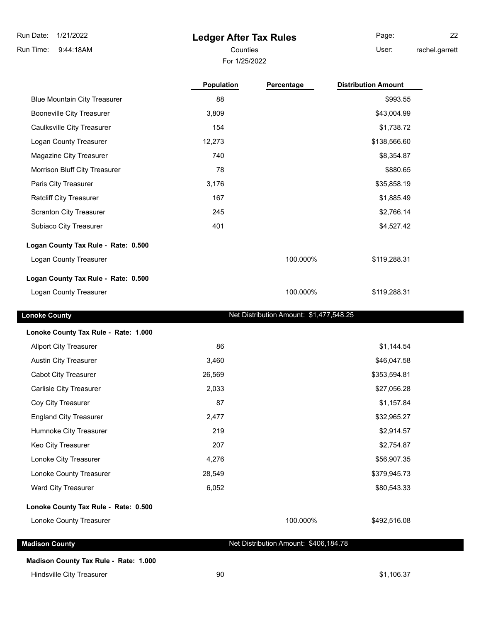### **Ledger After Tax Rules**

For 1/25/2022

Counties **Counties** User: Page: 22 rachel.garrett

**Population Percentage Distribution Amount** Blue Mountain City Treasurer 1992.55 \$993.55 \$993.55 \$993.55 \$993.55 \$993.55 \$993.55 \$993.55 \$993.55 \$993.55 \$ Booneville City Treasurer 1990 1990 1991 1991 1991 1991 1992 1994 1996 1997 1998 1999 1999 1999 1999 1999 199 Caulksville City Treasurer 154 **\$1,738.72 Caulksville City Treasurer** 154 Logan County Treasurer 12,273 12,273 \$138,566.60 Magazine City Treasurer 740 \$8,354.87 Morrison Bluff City Treasurer 78 \$880.65 Paris City Treasurer 3,176 \$35,858.19 \$35,858.19 Ratcliff City Treasurer 167 \$1,885.49 \$1,885.49 \$1,885.49 Scranton City Treasurer 245 \$2,766.14 Subiaco City Treasurer 1988 and the control of the 401 set of the 401 set of the 401 set of the 401 set of the 401 set of the 401 set of the 401 set of the 401 set of the 401 set of the 401 set of the 401 set of the 401 se **Logan County Tax Rule - Rate: 0.500** Logan County Treasurer **100.0000 100.0000 100.000 100.000 100.000** \$119,288.31 **Logan County Tax Rule - Rate: 0.500** Logan County Treasurer **the county of the County Treasurer** 100.000% \$119,288.31

**Lonoke County County Lonoke County Net Distribution Amount: \$1,477,548.25** 

| Lonoke County Tax Rule - Rate: 1.000 |        |              |
|--------------------------------------|--------|--------------|
| <b>Allport City Treasurer</b>        | 86     | \$1,144.54   |
| <b>Austin City Treasurer</b>         | 3,460  | \$46,047.58  |
| <b>Cabot City Treasurer</b>          | 26,569 | \$353,594.81 |
| Carlisle City Treasurer              | 2,033  | \$27,056.28  |
| Coy City Treasurer                   | 87     | \$1,157.84   |
| <b>England City Treasurer</b>        | 2,477  | \$32,965.27  |
| Humnoke City Treasurer               | 219    | \$2,914.57   |
| Keo City Treasurer                   | 207    | \$2,754.87   |
| Lonoke City Treasurer                | 4,276  | \$56,907.35  |
| Lonoke County Treasurer              | 28,549 | \$379,945.73 |
| Ward City Treasurer                  | 6,052  | \$80,543.33  |
| Lonoke County Tax Rule - Rate: 0.500 |        |              |

Lonoke County Treasurer 100.000% \$492,516.08

**Madison County Madison County Net Distribution Amount: \$406,184.78** 

**Madison County Tax Rule - Rate: 1.000**

Hindsville City Treasurer **1990 1.106.37 90 1.106.37 1.106.37**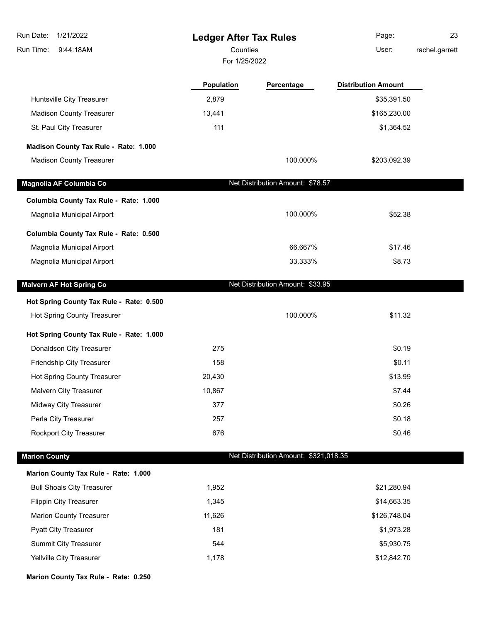| Run Date:<br>1/21/2022                   | <b>Ledger After Tax Rules</b> |                                       | Page:                      | 23             |
|------------------------------------------|-------------------------------|---------------------------------------|----------------------------|----------------|
| Run Time:<br>9:44:18AM                   | Counties                      |                                       | User:                      | rachel.garrett |
|                                          | For 1/25/2022                 |                                       |                            |                |
|                                          | Population                    | Percentage                            | <b>Distribution Amount</b> |                |
| Huntsville City Treasurer                | 2,879                         |                                       | \$35,391.50                |                |
| <b>Madison County Treasurer</b>          | 13,441                        |                                       | \$165,230.00               |                |
| St. Paul City Treasurer                  | 111                           |                                       | \$1,364.52                 |                |
| Madison County Tax Rule - Rate: 1.000    |                               |                                       |                            |                |
| <b>Madison County Treasurer</b>          |                               | 100.000%                              | \$203,092.39               |                |
| Magnolia AF Columbia Co                  |                               | Net Distribution Amount: \$78.57      |                            |                |
| Columbia County Tax Rule - Rate: 1.000   |                               |                                       |                            |                |
| Magnolia Municipal Airport               |                               | 100.000%                              | \$52.38                    |                |
| Columbia County Tax Rule - Rate: 0.500   |                               |                                       |                            |                |
| Magnolia Municipal Airport               |                               | 66.667%                               | \$17.46                    |                |
| Magnolia Municipal Airport               |                               | 33.333%                               | \$8.73                     |                |
| <b>Malvern AF Hot Spring Co</b>          |                               | Net Distribution Amount: \$33.95      |                            |                |
| Hot Spring County Tax Rule - Rate: 0.500 |                               |                                       |                            |                |
| Hot Spring County Treasurer              |                               | 100.000%                              | \$11.32                    |                |
| Hot Spring County Tax Rule - Rate: 1.000 |                               |                                       |                            |                |
| Donaldson City Treasurer                 | 275                           |                                       | \$0.19                     |                |
| Friendship City Treasurer                | 158                           |                                       | \$0.11                     |                |
| Hot Spring County Treasurer              | 20,430                        |                                       | \$13.99                    |                |
| Malvern City Treasurer                   | 10,867                        |                                       | \$7.44                     |                |
| Midway City Treasurer                    | 377                           |                                       | \$0.26                     |                |
| Perla City Treasurer                     | 257                           |                                       | \$0.18                     |                |
| Rockport City Treasurer                  | 676                           |                                       | \$0.46                     |                |
| <b>Marion County</b>                     |                               | Net Distribution Amount: \$321,018.35 |                            |                |
| Marion County Tax Rule - Rate: 1.000     |                               |                                       |                            |                |
| <b>Bull Shoals City Treasurer</b>        | 1,952                         |                                       | \$21,280.94                |                |
| <b>Flippin City Treasurer</b>            | 1,345                         |                                       | \$14,663.35                |                |
| <b>Marion County Treasurer</b>           | 11,626                        |                                       | \$126,748.04               |                |
| <b>Pyatt City Treasurer</b>              | 181                           |                                       | \$1,973.28                 |                |
| Summit City Treasurer                    | 544                           |                                       | \$5,930.75                 |                |
| Yellville City Treasurer                 | 1,178                         |                                       | \$12,842.70                |                |
| Marion County Tax Rule - Rate: 0.250     |                               |                                       |                            |                |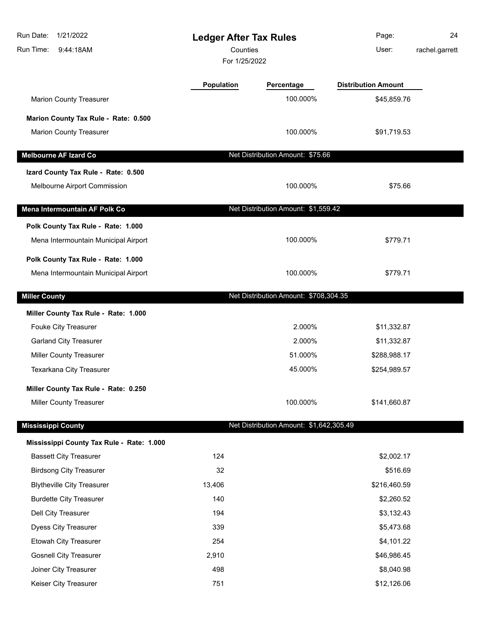| 1/21/2022<br>Run Date:<br>Run Time:<br>9:44:18AM | <b>Ledger After Tax Rules</b><br>Counties<br>For 1/25/2022 |                                         | Page:<br>User:             | 24<br>rachel.garrett |
|--------------------------------------------------|------------------------------------------------------------|-----------------------------------------|----------------------------|----------------------|
|                                                  | <b>Population</b>                                          | Percentage                              | <b>Distribution Amount</b> |                      |
| <b>Marion County Treasurer</b>                   |                                                            | 100.000%                                | \$45,859.76                |                      |
| Marion County Tax Rule - Rate: 0.500             |                                                            |                                         |                            |                      |
| <b>Marion County Treasurer</b>                   |                                                            | 100.000%                                | \$91,719.53                |                      |
| <b>Melbourne AF Izard Co</b>                     |                                                            | Net Distribution Amount: \$75.66        |                            |                      |
| Izard County Tax Rule - Rate: 0.500              |                                                            |                                         |                            |                      |
| Melbourne Airport Commission                     |                                                            | 100.000%                                | \$75.66                    |                      |
| Mena Intermountain AF Polk Co                    |                                                            | Net Distribution Amount: \$1,559.42     |                            |                      |
| Polk County Tax Rule - Rate: 1.000               |                                                            |                                         |                            |                      |
| Mena Intermountain Municipal Airport             |                                                            | 100.000%                                | \$779.71                   |                      |
| Polk County Tax Rule - Rate: 1.000               |                                                            |                                         |                            |                      |
| Mena Intermountain Municipal Airport             |                                                            | 100.000%                                | \$779.71                   |                      |
| <b>Miller County</b>                             |                                                            | Net Distribution Amount: \$708,304.35   |                            |                      |
| Miller County Tax Rule - Rate: 1.000             |                                                            |                                         |                            |                      |
| Fouke City Treasurer                             |                                                            | 2.000%                                  | \$11,332.87                |                      |
| <b>Garland City Treasurer</b>                    |                                                            | 2.000%                                  | \$11,332.87                |                      |
| Miller County Treasurer                          |                                                            | 51.000%                                 | \$288,988.17               |                      |
| Texarkana City Treasurer                         |                                                            | 45.000%                                 | \$254,989.57               |                      |
| Miller County Tax Rule - Rate: 0.250             |                                                            |                                         |                            |                      |
| Miller County Treasurer                          |                                                            | 100.000%                                | \$141,660.87               |                      |
| <b>Mississippi County</b>                        |                                                            | Net Distribution Amount: \$1,642,305.49 |                            |                      |
| Mississippi County Tax Rule - Rate: 1.000        |                                                            |                                         |                            |                      |
| <b>Bassett City Treasurer</b>                    | 124                                                        |                                         | \$2,002.17                 |                      |
| <b>Birdsong City Treasurer</b>                   | 32                                                         |                                         | \$516.69                   |                      |
| <b>Blytheville City Treasurer</b>                | 13,406                                                     |                                         | \$216,460.59               |                      |
| <b>Burdette City Treasurer</b>                   | 140                                                        |                                         | \$2,260.52                 |                      |
| Dell City Treasurer                              | 194                                                        |                                         | \$3,132.43                 |                      |
| <b>Dyess City Treasurer</b>                      | 339                                                        |                                         | \$5,473.68                 |                      |
| Etowah City Treasurer                            | 254                                                        |                                         | \$4,101.22                 |                      |
| <b>Gosnell City Treasurer</b>                    | 2,910                                                      |                                         | \$46,986.45                |                      |
| Joiner City Treasurer                            | 498                                                        |                                         | \$8,040.98                 |                      |
| Keiser City Treasurer                            | 751                                                        |                                         | \$12,126.06                |                      |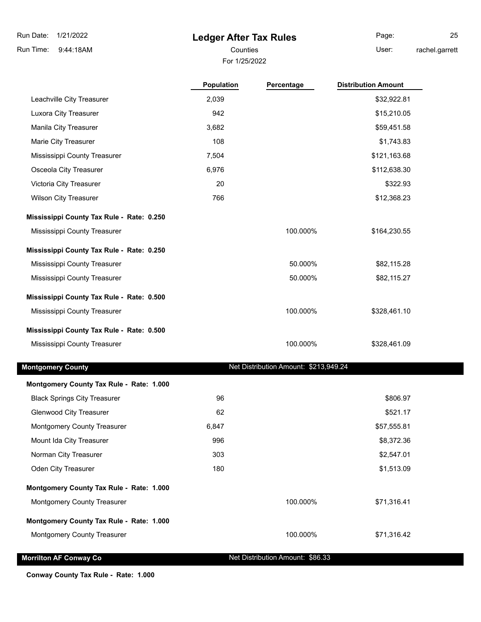9:44:18AM Run Time:

### **Ledger After Tax Rules**

For 1/25/2022 Counties **Counties** User:

Page: 25 rachel.garrett

|                           | UL 172JZUZZ       |            |                            |  |
|---------------------------|-------------------|------------|----------------------------|--|
|                           | <b>Population</b> | Percentage | <b>Distribution Amount</b> |  |
| Leachville City Treasurer | 2,039             |            | \$32,922.81                |  |

Luxora City Treasurer and the settlement of the settlement of the 942  $$15,210.05$ Manila City Treasurer 3,682 \$59,451.58 Marie City Treasurer **108** \$1,743.83 Mississippi County Treasurer 7,504 \$121,163.68 Osceola City Treasurer 6,976 \$112,638.30 Victoria City Treasurer 20 \$322.93 Wilson City Treasurer 766 \$12,368.23

**Mississippi County Tax Rule - Rate: 0.250**

Mississippi County Treasurer **100.000%** \$164,230.55

**Mississippi County Tax Rule - Rate: 0.250** Mississippi County Treasurer 60.000% \$82,115.28 Mississippi County Treasurer 60 November 2012 115.27 November 2012 12:30 November 2013 12:30 November 2013 12:3

**Mississippi County Tax Rule - Rate: 0.500** Mississippi County Treasurer 100.000% \$328,461.10

### **Mississippi County Tax Rule - Rate: 0.500** Mississippi County Treasurer 100.000% \$328,461.09

**Montgomery County Tax Rule - Rate: 1.000**

**Montgomery County Montgomery County Net Distribution Amount: \$213,949.24** 

| <b>MORGOTHER COURTY THE NUME RATE. RATE</b> |       |          |             |
|---------------------------------------------|-------|----------|-------------|
| <b>Black Springs City Treasurer</b>         | 96    |          | \$806.97    |
| <b>Glenwood City Treasurer</b>              | 62    |          | \$521.17    |
| <b>Montgomery County Treasurer</b>          | 6,847 |          | \$57,555.81 |
| Mount Ida City Treasurer                    | 996   |          | \$8,372.36  |
| Norman City Treasurer                       | 303   |          | \$2,547.01  |
| <b>Oden City Treasurer</b>                  | 180   |          | \$1,513.09  |
| Montgomery County Tax Rule - Rate: 1.000    |       |          |             |
| <b>Montgomery County Treasurer</b>          |       | 100.000% | \$71,316.41 |
| Montgomery County Tax Rule - Rate: 1.000    |       |          |             |
| <b>Montgomery County Treasurer</b>          |       | 100.000% | \$71,316.42 |
|                                             |       |          |             |

**Morrilton AF Conway Co** Net Distribution Amount: \$86.33

**Conway County Tax Rule - Rate: 1.000**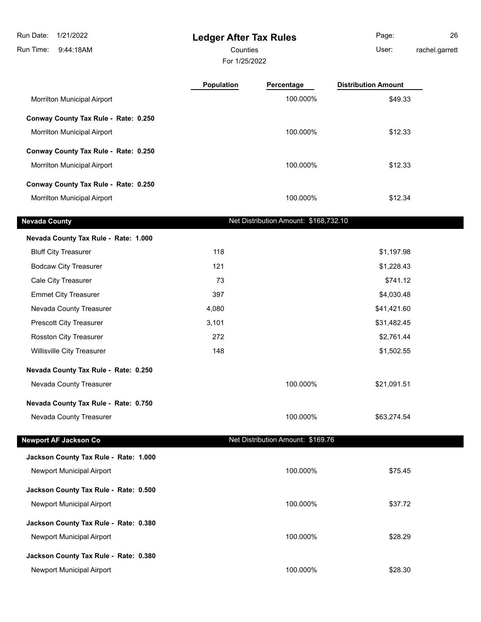**Ledger After Tax Rules** 9:44:18AM Run Time: Run Date: 1/21/2022 For 1/25/2022 Counties **Counties** User: Page: 26 rachel.garrett **Population Percentage Distribution Amount** Morrilton Municipal Airport 649.33 **Conway County Tax Rule - Rate: 0.250** Morrilton Municipal Airport **100.000%** \$12.33 **Conway County Tax Rule - Rate: 0.250** Morrilton Municipal Airport 100.000% \$12.33 **Conway County Tax Rule - Rate: 0.250** Morrilton Municipal Airport 100.000% \$12.34 **Nevada County Net Distribution Amount: \$168,732.10 Nevada County Tax Rule - Rate: 1.000** Bluff City Treasurer **118** \$1,197.98 Bodcaw City Treasurer 121 **121** \$1,228.43 Cale City Treasurer 73 \$741.12 Emmet City Treasurer **397** \$4,030.48 Nevada County Treasurer 1980 and 1,080 the county of the set of the set of the set of the set of the set of the set of the set of the set of the set of the set of the set of the set of the set of the set of the set of the Prescott City Treasurer 1.1 and 2.45 and 3,101 and 3.101 and 3.5 and 3.482.45 Rosston City Treasurer 272 32 and 272 \$2,761.44 Willisville City Treasurer **148** \$1,502.55 **Nevada County Tax Rule - Rate: 0.250** Nevada County Treasurer 100.000% \$21,091.51 **Nevada County Tax Rule - Rate: 0.750** Nevada County Treasurer 100.000% \$63,274.54 **Newport AF Jackson Co** Net Distribution Amount: \$169.76 **Jackson County Tax Rule - Rate: 1.000** Newport Municipal Airport **100.000%** \$75.45 **Jackson County Tax Rule - Rate: 0.500** Newport Municipal Airport **100.000%** \$37.72 **Jackson County Tax Rule - Rate: 0.380** Newport Municipal Airport **100.000%** \$28.29 **Jackson County Tax Rule - Rate: 0.380**

Newport Municipal Airport **100.000%** \$28.30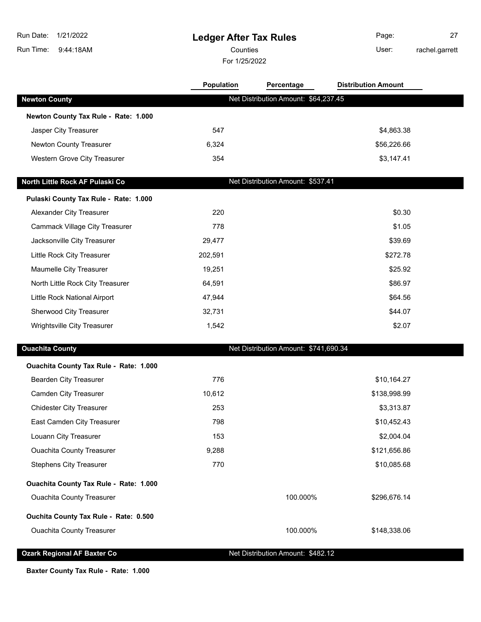| Run Date:<br>1/21/2022<br>Run Time:<br>9:44:18AM | <b>Ledger After Tax Rules</b><br>Counties<br>For 1/25/2022 |                                       | Page:<br>User:             | 27<br>rachel.garrett |
|--------------------------------------------------|------------------------------------------------------------|---------------------------------------|----------------------------|----------------------|
|                                                  | <b>Population</b>                                          | Percentage                            | <b>Distribution Amount</b> |                      |
| <b>Newton County</b>                             |                                                            | Net Distribution Amount: \$64,237.45  |                            |                      |
| Newton County Tax Rule - Rate: 1.000             |                                                            |                                       |                            |                      |
| Jasper City Treasurer                            | 547                                                        |                                       | \$4,863.38                 |                      |
| Newton County Treasurer                          | 6,324                                                      |                                       | \$56,226.66                |                      |
| Western Grove City Treasurer                     | 354                                                        |                                       | \$3,147.41                 |                      |
| North Little Rock AF Pulaski Co                  |                                                            | Net Distribution Amount: \$537.41     |                            |                      |
| Pulaski County Tax Rule - Rate: 1.000            |                                                            |                                       |                            |                      |
| Alexander City Treasurer                         | 220                                                        |                                       | \$0.30                     |                      |
| <b>Cammack Village City Treasurer</b>            | 778                                                        |                                       | \$1.05                     |                      |
| Jacksonville City Treasurer                      | 29,477                                                     |                                       | \$39.69                    |                      |
| Little Rock City Treasurer                       | 202,591                                                    |                                       | \$272.78                   |                      |
| Maumelle City Treasurer                          | 19,251                                                     |                                       | \$25.92                    |                      |
| North Little Rock City Treasurer                 | 64,591                                                     |                                       | \$86.97                    |                      |
| Little Rock National Airport                     | 47,944                                                     |                                       | \$64.56                    |                      |
| Sherwood City Treasurer                          | 32,731                                                     |                                       | \$44.07                    |                      |
| Wrightsville City Treasurer                      | 1,542                                                      |                                       | \$2.07                     |                      |
| <b>Ouachita County</b>                           |                                                            | Net Distribution Amount: \$741,690.34 |                            |                      |
| Ouachita County Tax Rule - Rate: 1.000           |                                                            |                                       |                            |                      |
| Bearden City Treasurer                           | 776                                                        |                                       | \$10,164.27                |                      |
| <b>Camden City Treasurer</b>                     | 10,612                                                     |                                       | \$138,998.99               |                      |
| <b>Chidester City Treasurer</b>                  | 253                                                        |                                       | \$3,313.87                 |                      |
| East Camden City Treasurer                       | 798                                                        |                                       | \$10,452.43                |                      |
| Louann City Treasurer                            | 153                                                        |                                       | \$2,004.04                 |                      |
| <b>Ouachita County Treasurer</b>                 | 9,288                                                      |                                       | \$121,656.86               |                      |
| <b>Stephens City Treasurer</b>                   | 770                                                        |                                       | \$10,085.68                |                      |
| Ouachita County Tax Rule - Rate: 1.000           |                                                            |                                       |                            |                      |
| <b>Ouachita County Treasurer</b>                 |                                                            | 100.000%                              | \$296,676.14               |                      |
| Ouchita County Tax Rule - Rate: 0.500            |                                                            |                                       |                            |                      |
| <b>Ouachita County Treasurer</b>                 |                                                            | 100.000%                              | \$148,338.06               |                      |

**Ozark Regional AF Baxter Co** Net Distribution Amount: \$482.12

**Baxter County Tax Rule - Rate: 1.000**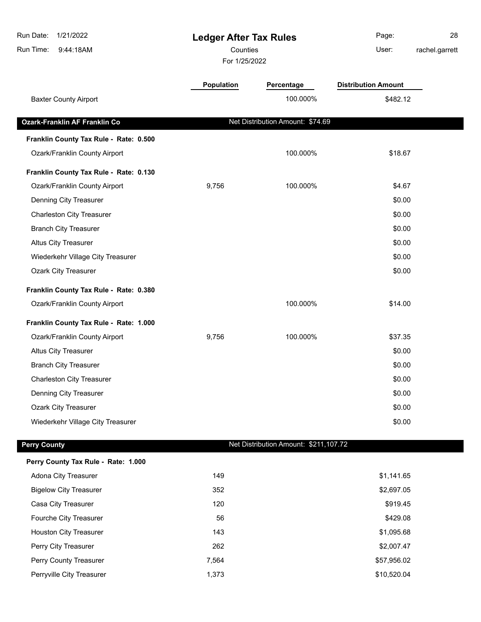| Run Date:<br>1/21/2022<br>Run Time:<br>9:44:18AM | <b>Ledger After Tax Rules</b><br>Counties<br>For 1/25/2022 |                                       | Page:<br>User:             | 28<br>rachel.garrett |
|--------------------------------------------------|------------------------------------------------------------|---------------------------------------|----------------------------|----------------------|
|                                                  | Population                                                 | Percentage                            | <b>Distribution Amount</b> |                      |
| <b>Baxter County Airport</b>                     |                                                            | 100.000%                              | \$482.12                   |                      |
| <b>Ozark-Franklin AF Franklin Co</b>             |                                                            | Net Distribution Amount: \$74.69      |                            |                      |
| Franklin County Tax Rule - Rate: 0.500           |                                                            |                                       |                            |                      |
| Ozark/Franklin County Airport                    |                                                            | 100.000%                              | \$18.67                    |                      |
| Franklin County Tax Rule - Rate: 0.130           |                                                            |                                       |                            |                      |
| Ozark/Franklin County Airport                    | 9,756                                                      | 100.000%                              | \$4.67                     |                      |
| Denning City Treasurer                           |                                                            |                                       | \$0.00                     |                      |
| <b>Charleston City Treasurer</b>                 |                                                            |                                       | \$0.00                     |                      |
| <b>Branch City Treasurer</b>                     |                                                            |                                       | \$0.00                     |                      |
| <b>Altus City Treasurer</b>                      |                                                            |                                       | \$0.00                     |                      |
| Wiederkehr Village City Treasurer                |                                                            |                                       | \$0.00                     |                      |
| <b>Ozark City Treasurer</b>                      |                                                            |                                       | \$0.00                     |                      |
| Franklin County Tax Rule - Rate: 0.380           |                                                            |                                       |                            |                      |
| Ozark/Franklin County Airport                    |                                                            | 100.000%                              | \$14.00                    |                      |
| Franklin County Tax Rule - Rate: 1.000           |                                                            |                                       |                            |                      |
| Ozark/Franklin County Airport                    | 9,756                                                      | 100.000%                              | \$37.35                    |                      |
| Altus City Treasurer                             |                                                            |                                       | \$0.00                     |                      |
| <b>Branch City Treasurer</b>                     |                                                            |                                       | \$0.00                     |                      |
| <b>Charleston City Treasurer</b>                 |                                                            |                                       | \$0.00                     |                      |
| Denning City Treasurer                           |                                                            |                                       | \$0.00                     |                      |
| <b>Ozark City Treasurer</b>                      |                                                            |                                       | \$0.00                     |                      |
| Wiederkehr Village City Treasurer                |                                                            |                                       | \$0.00                     |                      |
| <b>Perry County</b>                              |                                                            | Net Distribution Amount: \$211,107.72 |                            |                      |
|                                                  |                                                            |                                       |                            |                      |
| Perry County Tax Rule - Rate: 1.000              |                                                            |                                       |                            |                      |
| Adona City Treasurer                             | 149                                                        |                                       | \$1,141.65                 |                      |
| <b>Bigelow City Treasurer</b>                    | 352                                                        |                                       | \$2,697.05                 |                      |
| Casa City Treasurer                              | 120                                                        |                                       | \$919.45                   |                      |
| Fourche City Treasurer                           | 56                                                         |                                       | \$429.08                   |                      |
| <b>Houston City Treasurer</b>                    | 143                                                        |                                       | \$1,095.68                 |                      |
| Perry City Treasurer                             | 262                                                        |                                       | \$2,007.47                 |                      |

Perry County Treasurer and the county of the country of the country of the country of the country of the country of the country of the country of the country of the country of the country of the country of the country of t Perryville City Treasurer and the state of the 1,373 \$10,520.04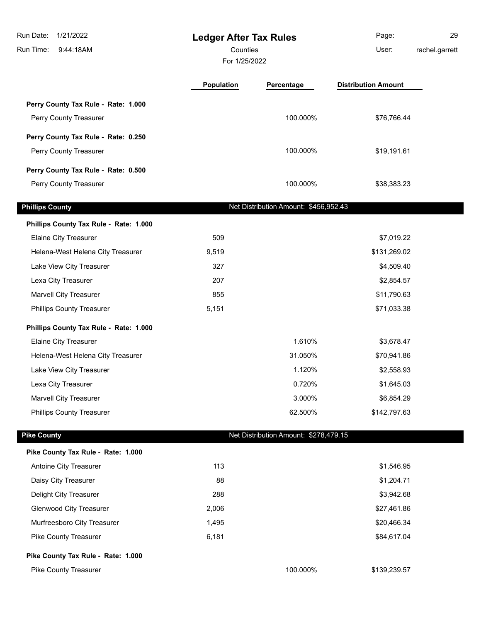| Run Date:<br>1/21/2022<br>Run Time:<br>9:44:18AM |            | <b>Ledger After Tax Rules</b><br>Counties<br>For 1/25/2022 |                            | 29<br>rachel.garrett |
|--------------------------------------------------|------------|------------------------------------------------------------|----------------------------|----------------------|
|                                                  | Population | Percentage                                                 | <b>Distribution Amount</b> |                      |
| Perry County Tax Rule - Rate: 1.000              |            |                                                            |                            |                      |
| Perry County Treasurer                           |            | 100.000%                                                   | \$76,766.44                |                      |
| Perry County Tax Rule - Rate: 0.250              |            |                                                            |                            |                      |
| Perry County Treasurer                           |            | 100.000%                                                   | \$19,191.61                |                      |
| Perry County Tax Rule - Rate: 0.500              |            |                                                            |                            |                      |
| Perry County Treasurer                           |            | 100.000%                                                   | \$38,383.23                |                      |
| <b>Phillips County</b>                           |            | Net Distribution Amount: \$456,952.43                      |                            |                      |
| Phillips County Tax Rule - Rate: 1.000           |            |                                                            |                            |                      |
| Elaine City Treasurer                            | 509        |                                                            | \$7,019.22                 |                      |
| Helena-West Helena City Treasurer                | 9,519      |                                                            | \$131,269.02               |                      |
| Lake View City Treasurer                         | 327        |                                                            | \$4,509.40                 |                      |
| Lexa City Treasurer                              | 207        |                                                            | \$2,854.57                 |                      |
| <b>Marvell City Treasurer</b>                    | 855        |                                                            | \$11,790.63                |                      |
| <b>Phillips County Treasurer</b>                 | 5,151      |                                                            | \$71,033.38                |                      |
| Phillips County Tax Rule - Rate: 1.000           |            |                                                            |                            |                      |
| Elaine City Treasurer                            |            | 1.610%                                                     | \$3,678.47                 |                      |
| Helena-West Helena City Treasurer                |            | 31.050%                                                    | \$70,941.86                |                      |
| Lake View City Treasurer                         |            | 1.120%                                                     | \$2,558.93                 |                      |
| Lexa City Treasurer                              |            | 0.720%                                                     | \$1,645.03                 |                      |
| <b>Marvell City Treasurer</b>                    |            | 3.000%                                                     | \$6,854.29                 |                      |
| <b>Phillips County Treasurer</b>                 |            | 62.500%                                                    | \$142,797.63               |                      |
| <b>Pike County</b>                               |            | Net Distribution Amount: \$278,479.15                      |                            |                      |
| Pike County Tax Rule - Rate: 1.000               |            |                                                            |                            |                      |
| Antoine City Treasurer                           | 113        |                                                            | \$1,546.95                 |                      |
| Daisy City Treasurer                             | 88         |                                                            | \$1,204.71                 |                      |
| Delight City Treasurer                           | 288        |                                                            | \$3,942.68                 |                      |
| <b>Glenwood City Treasurer</b>                   | 2,006      |                                                            | \$27,461.86                |                      |
| Murfreesboro City Treasurer                      | 1,495      |                                                            | \$20,466.34                |                      |
| Pike County Treasurer                            | 6,181      |                                                            | \$84,617.04                |                      |
| Pike County Tax Rule - Rate: 1.000               |            |                                                            |                            |                      |
| Pike County Treasurer                            |            | 100.000%                                                   | \$139,239.57               |                      |
|                                                  |            |                                                            |                            |                      |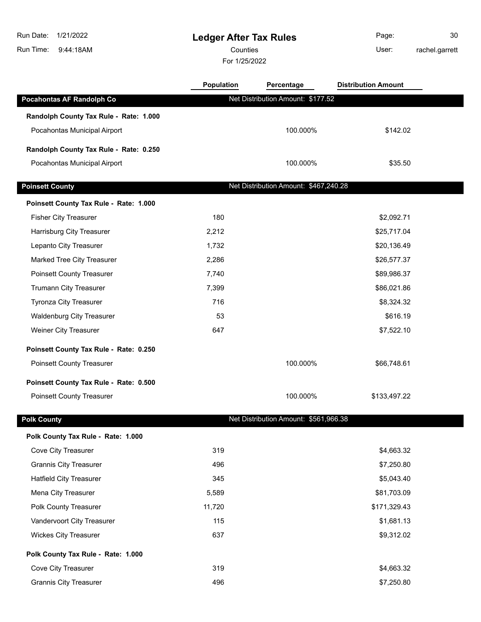**Ledger After Tax Rules** 9:44:18AM Run Time: Run Date: 1/21/2022 For 1/25/2022 Counties **Counties** User: Page: 30 rachel.garrett **Population Percentage Distribution Amount Pocahontas AF Randolph Co** Net Distribution Amount: \$177.52 **Randolph County Tax Rule - Rate: 1.000** Pocahontas Municipal Airport 100.000% \$142.02 **Randolph County Tax Rule - Rate: 0.250** Pocahontas Municipal Airport 100.000% \$35.50 **Poinsett County Poinsett County Net Distribution Amount: \$467,240.28 Poinsett County Tax Rule - Rate: 1.000** Fisher City Treasurer 180 \$2,092.71 Harrisburg City Treasurer 2,212 \$25,717.04 Lepanto City Treasurer 1,732 **but a set of the set of the set of the set of the set of the set of the set of the set of the set of the set of the set of the set of the set of the set of the set of the set of the set of the** Marked Tree City Treasurer 2,286 \$26,577.37 Poinsett County Treasurer 1989,986.37 and the county Treasurer 1,740 by the state of the state  $7,740$ Trumann City Treasurer 7,399 \$86,021.86 Tyronza City Treasurer 1988 and 1999 and 2008 and 2008 and 2008 and 2008 and 2008 and 2008 and 2008 and 2008 and 2008 and 2008 and 2008 and 2008 and 2008 and 2008 and 2008 and 2008 and 2008 and 2008 and 2008 and 2008 and 2 Waldenburg City Treasurer 53 \$616.19 Weiner City Treasurer **647** \$7,522.10 **Poinsett County Tax Rule - Rate: 0.250** Poinsett County Treasurer 100.000% \$66,748.61 **Poinsett County Tax Rule - Rate: 0.500** Poinsett County Treasurer 100.000% \$133,497.22 **Polk County Polk County Pole 2012 Net Distribution Amount: \$561,966.38 Polk County Tax Rule - Rate: 1.000** Cove City Treasurer 6. The coverage of the coverage of the coverage of the coverage of the coverage of the coverage of the coverage of the coverage of the coverage of the coverage of the coverage of the coverage of the cov Grannis City Treasurer 496 \$7,250.80 Hatfield City Treasurer 1980 1990 1991 1991 1991 1992 1993 1994 1995 1996 1997 1998 1999 1998 1999 1999 1999 1 Mena City Treasurer 5,589 \$81,703.09 Polk County Treasurer 11,720 **but County Treasurer 11,720 but County Treasurer** 11,720 Vandervoort City Treasurer 115 115 115 115 12 115 12 115 12 115 12 11681.13 Wickes City Treasurer **637** \$9,312.02

**Polk County Tax Rule - Rate: 1.000**

Cove City Treasurer 6. The coverage of the coverage of the coverage of the coverage of the coverage of the coverage of the coverage of the coverage of the coverage of the coverage of the coverage of the coverage of the cov Grannis City Treasurer 496 \$7,250.80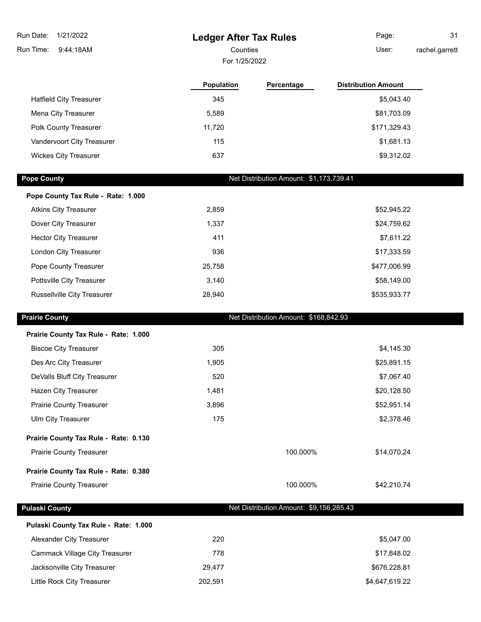## **Ledger After Tax Rules**

For 1/25/2022 Counties **User:** 

Page: 31 rachel.garrett

|                                | <b>Population</b> | Percentage | <b>Distribution Amount</b> |
|--------------------------------|-------------------|------------|----------------------------|
| <b>Hatfield City Treasurer</b> | 345               |            | \$5,043.40                 |
| Mena City Treasurer            | 5.589             |            | \$81,703.09                |
| <b>Polk County Treasurer</b>   | 11.720            |            | \$171,329.43               |
| Vandervoort City Treasurer     | 115               |            | \$1,681.13                 |
| <b>Wickes City Treasurer</b>   | 637               |            | \$9,312.02                 |

I

**Pope County Pope County Net Distribution Amount: \$1,173,739.41** 

| Pope County Tax Rule - Rate: 1.000 |        |              |
|------------------------------------|--------|--------------|
| <b>Atkins City Treasurer</b>       | 2,859  | \$52,945.22  |
| Dover City Treasurer               | 1,337  | \$24,759.62  |
| <b>Hector City Treasurer</b>       | 411    | \$7,611.22   |
| London City Treasurer              | 936    | \$17,333.59  |
| Pope County Treasurer              | 25,758 | \$477,006.99 |
| Pottsville City Treasurer          | 3.140  | \$58,149.00  |
| Russellville City Treasurer        | 28,940 | \$535,933.77 |

| <b>Prairie County</b>                 |         | Net Distribution Amount: \$168,842.93   |                |  |
|---------------------------------------|---------|-----------------------------------------|----------------|--|
| Prairie County Tax Rule - Rate: 1.000 |         |                                         |                |  |
| <b>Biscoe City Treasurer</b>          | 305     |                                         | \$4,145.30     |  |
| Des Arc City Treasurer                | 1,905   |                                         | \$25,891.15    |  |
| DeValls Bluff City Treasurer          | 520     |                                         | \$7,067.40     |  |
| Hazen City Treasurer                  | 1,481   |                                         | \$20,128.50    |  |
| <b>Prairie County Treasurer</b>       | 3,896   |                                         | \$52,951.14    |  |
| Ulm City Treasurer                    | 175     |                                         | \$2,378.46     |  |
| Prairie County Tax Rule - Rate: 0.130 |         |                                         |                |  |
| <b>Prairie County Treasurer</b>       |         | 100.000%                                | \$14,070.24    |  |
| Prairie County Tax Rule - Rate: 0.380 |         |                                         |                |  |
| <b>Prairie County Treasurer</b>       |         | 100.000%                                | \$42,210.74    |  |
| <b>Pulaski County</b>                 |         | Net Distribution Amount: \$9,156,285.43 |                |  |
| Pulaski County Tax Rule - Rate: 1.000 |         |                                         |                |  |
| Alexander City Treasurer              | 220     |                                         | \$5,047.00     |  |
| <b>Cammack Village City Treasurer</b> | 778     |                                         | \$17,848.02    |  |
| Jacksonville City Treasurer           | 29,477  |                                         | \$676,228.81   |  |
| Little Rock City Treasurer            | 202,591 |                                         | \$4,647,619.22 |  |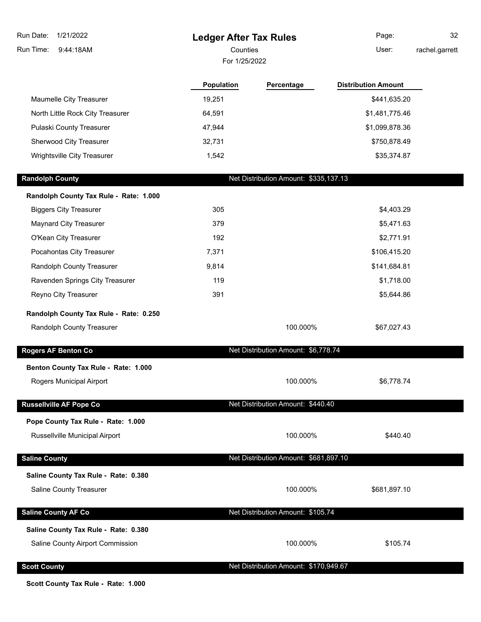| Run Date:<br>1/21/2022<br>Run Time:<br>9:44:18AM | <b>Ledger After Tax Rules</b><br>Counties<br>For 1/25/2022 |                                       | Page:<br>User:             | 32<br>rachel.garrett |
|--------------------------------------------------|------------------------------------------------------------|---------------------------------------|----------------------------|----------------------|
|                                                  | Population                                                 | Percentage                            | <b>Distribution Amount</b> |                      |
| Maumelle City Treasurer                          | 19,251                                                     |                                       | \$441,635.20               |                      |
| North Little Rock City Treasurer                 | 64,591                                                     |                                       | \$1,481,775.46             |                      |
| Pulaski County Treasurer                         | 47,944                                                     |                                       | \$1,099,878.36             |                      |
| Sherwood City Treasurer                          | 32,731                                                     |                                       | \$750,878.49               |                      |
| Wrightsville City Treasurer                      | 1,542                                                      |                                       | \$35,374.87                |                      |
| <b>Randolph County</b>                           |                                                            | Net Distribution Amount: \$335,137.13 |                            |                      |
| Randolph County Tax Rule - Rate: 1.000           |                                                            |                                       |                            |                      |
| <b>Biggers City Treasurer</b>                    | 305                                                        |                                       | \$4,403.29                 |                      |
| Maynard City Treasurer                           | 379                                                        |                                       | \$5,471.63                 |                      |
| O'Kean City Treasurer                            | 192                                                        |                                       | \$2,771.91                 |                      |
| Pocahontas City Treasurer                        | 7,371                                                      |                                       | \$106,415.20               |                      |
| Randolph County Treasurer                        | 9,814                                                      |                                       | \$141,684.81               |                      |
| Ravenden Springs City Treasurer                  | 119                                                        |                                       | \$1,718.00                 |                      |
| Reyno City Treasurer                             | 391                                                        |                                       | \$5,644.86                 |                      |
| Randolph County Tax Rule - Rate: 0.250           |                                                            |                                       |                            |                      |
| Randolph County Treasurer                        |                                                            | 100.000%                              | \$67,027.43                |                      |
| Rogers AF Benton Co                              |                                                            | Net Distribution Amount: \$6,778.74   |                            |                      |
| Benton County Tax Rule - Rate: 1.000             |                                                            |                                       |                            |                      |
| Rogers Municipal Airport                         |                                                            | 100.000%                              | \$6,778.74                 |                      |
| <b>Russellville AF Pope Co</b>                   |                                                            | Net Distribution Amount: \$440.40     |                            |                      |
| Pope County Tax Rule - Rate: 1.000               |                                                            |                                       |                            |                      |
| Russellville Municipal Airport                   |                                                            | 100.000%                              | \$440.40                   |                      |
| <b>Saline County</b>                             |                                                            | Net Distribution Amount: \$681,897.10 |                            |                      |
| Saline County Tax Rule - Rate: 0.380             |                                                            |                                       |                            |                      |
| Saline County Treasurer                          |                                                            | 100.000%                              | \$681,897.10               |                      |
| <b>Saline County AF Co</b>                       |                                                            | Net Distribution Amount: \$105.74     |                            |                      |
| Saline County Tax Rule - Rate: 0.380             |                                                            |                                       |                            |                      |
| Saline County Airport Commission                 |                                                            | 100.000%                              | \$105.74                   |                      |
| <b>Scott County</b>                              |                                                            | Net Distribution Amount: \$170,949.67 |                            |                      |

**Scott County Tax Rule - Rate: 1.000**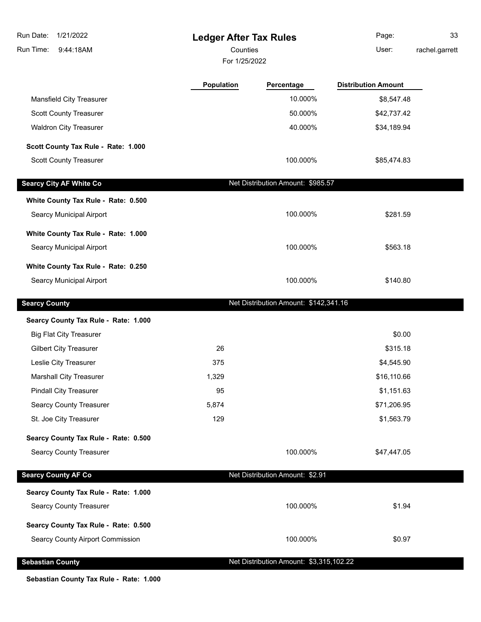| Run Date:<br>1/21/2022                  | <b>Ledger After Tax Rules</b> |                                         | Page:                      | 33             |
|-----------------------------------------|-------------------------------|-----------------------------------------|----------------------------|----------------|
| Run Time:<br>9:44:18AM                  | Counties                      |                                         | User:                      | rachel.garrett |
|                                         | For 1/25/2022                 |                                         |                            |                |
|                                         | Population                    | Percentage                              | <b>Distribution Amount</b> |                |
| Mansfield City Treasurer                |                               | 10.000%                                 | \$8,547.48                 |                |
| <b>Scott County Treasurer</b>           |                               | 50.000%                                 | \$42,737.42                |                |
| <b>Waldron City Treasurer</b>           |                               | 40.000%                                 | \$34,189.94                |                |
| Scott County Tax Rule - Rate: 1.000     |                               |                                         |                            |                |
| <b>Scott County Treasurer</b>           |                               | 100.000%                                | \$85,474.83                |                |
| <b>Searcy City AF White Co</b>          |                               | Net Distribution Amount: \$985.57       |                            |                |
| White County Tax Rule - Rate: 0.500     |                               |                                         |                            |                |
| Searcy Municipal Airport                |                               | 100.000%                                | \$281.59                   |                |
| White County Tax Rule - Rate: 1.000     |                               |                                         |                            |                |
| <b>Searcy Municipal Airport</b>         |                               | 100.000%                                | \$563.18                   |                |
| White County Tax Rule - Rate: 0.250     |                               |                                         |                            |                |
| Searcy Municipal Airport                |                               | 100.000%                                | \$140.80                   |                |
| <b>Searcy County</b>                    |                               | Net Distribution Amount: \$142,341.16   |                            |                |
| Searcy County Tax Rule - Rate: 1.000    |                               |                                         |                            |                |
| <b>Big Flat City Treasurer</b>          |                               |                                         | \$0.00                     |                |
| <b>Gilbert City Treasurer</b>           | 26                            |                                         | \$315.18                   |                |
| Leslie City Treasurer                   | 375                           |                                         | \$4,545.90                 |                |
| <b>Marshall City Treasurer</b>          | 1,329                         |                                         | \$16,110.66                |                |
| <b>Pindall City Treasurer</b>           | 95                            |                                         | \$1,151.63                 |                |
| <b>Searcy County Treasurer</b>          | 5,874                         |                                         | \$71,206.95                |                |
| St. Joe City Treasurer                  | 129                           |                                         | \$1,563.79                 |                |
| Searcy County Tax Rule - Rate: 0.500    |                               |                                         |                            |                |
| <b>Searcy County Treasurer</b>          |                               | 100.000%                                | \$47,447.05                |                |
| <b>Searcy County AF Co</b>              |                               | Net Distribution Amount: \$2.91         |                            |                |
| Searcy County Tax Rule - Rate: 1.000    |                               |                                         |                            |                |
| <b>Searcy County Treasurer</b>          |                               | 100.000%                                | \$1.94                     |                |
| Searcy County Tax Rule - Rate: 0.500    |                               |                                         |                            |                |
| <b>Searcy County Airport Commission</b> |                               | 100.000%                                | \$0.97                     |                |
| <b>Sebastian County</b>                 |                               | Net Distribution Amount: \$3,315,102.22 |                            |                |

**Sebastian County Tax Rule - Rate: 1.000**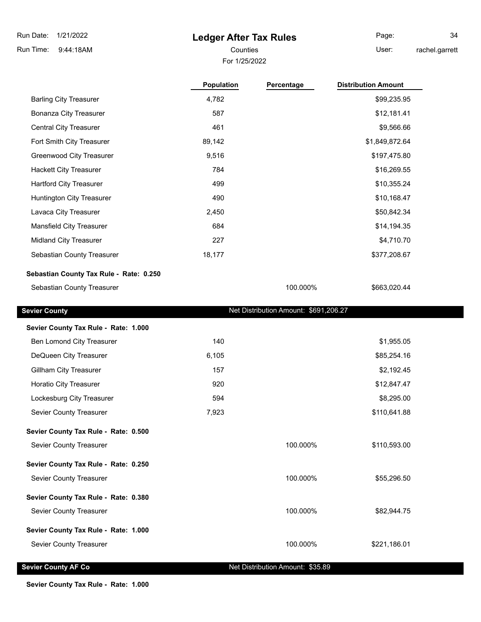## **Ledger After Tax Rules**

Page: 34 rachel.garrett

For 1/25/2022 Counties User:

|                                         | <b>Population</b> | Percentage                            | <b>Distribution Amount</b> |  |
|-----------------------------------------|-------------------|---------------------------------------|----------------------------|--|
| <b>Barling City Treasurer</b>           | 4,782             |                                       | \$99,235.95                |  |
| <b>Bonanza City Treasurer</b>           | 587               |                                       | \$12,181.41                |  |
| <b>Central City Treasurer</b>           | 461               |                                       | \$9,566.66                 |  |
| Fort Smith City Treasurer               | 89,142            |                                       | \$1,849,872.64             |  |
| Greenwood City Treasurer                | 9,516             |                                       | \$197,475.80               |  |
| <b>Hackett City Treasurer</b>           | 784               |                                       | \$16,269.55                |  |
| <b>Hartford City Treasurer</b>          | 499               |                                       | \$10,355.24                |  |
| Huntington City Treasurer               | 490               |                                       | \$10,168.47                |  |
| Lavaca City Treasurer                   | 2,450             |                                       | \$50,842.34                |  |
| <b>Mansfield City Treasurer</b>         | 684               |                                       | \$14,194.35                |  |
| Midland City Treasurer                  | 227               |                                       | \$4,710.70                 |  |
| Sebastian County Treasurer              | 18,177            |                                       | \$377,208.67               |  |
| Sebastian County Tax Rule - Rate: 0.250 |                   |                                       |                            |  |
| Sebastian County Treasurer              |                   | 100.000%                              | \$663,020.44               |  |
| <b>Sevier County</b>                    |                   | Net Distribution Amount: \$691,206.27 |                            |  |
| Sevier County Tax Rule - Rate: 1.000    |                   |                                       |                            |  |
| Ben Lomond City Treasurer               | 140               |                                       | \$1,955.05                 |  |
| DeQueen City Treasurer                  | 6,105             |                                       | \$85,254.16                |  |
| <b>Gillham City Treasurer</b>           | 157               |                                       | \$2,192.45                 |  |
| Horatio City Treasurer                  | 920               |                                       | \$12,847.47                |  |
| Lockesburg City Treasurer               | 594               |                                       | \$8,295.00                 |  |
| Sevier County Treasurer                 | 7,923             |                                       | \$110,641.88               |  |
| Sevier County Tax Rule - Rate: 0.500    |                   |                                       |                            |  |
| Sevier County Treasurer                 |                   | 100.000%                              | \$110,593.00               |  |
| Sevier County Tax Rule - Rate: 0.250    |                   |                                       |                            |  |
| Sevier County Treasurer                 |                   | 100.000%                              | \$55,296.50                |  |
| Sevier County Tax Rule - Rate: 0.380    |                   |                                       |                            |  |
| Sevier County Treasurer                 |                   | 100.000%                              | \$82,944.75                |  |
| Sevier County Tax Rule - Rate: 1.000    |                   |                                       |                            |  |
| Sevier County Treasurer                 |                   | 100.000%                              | \$221,186.01               |  |

**Sevier County AF Co** Net Distribution Amount: \$35.89

**Sevier County Tax Rule - Rate: 1.000**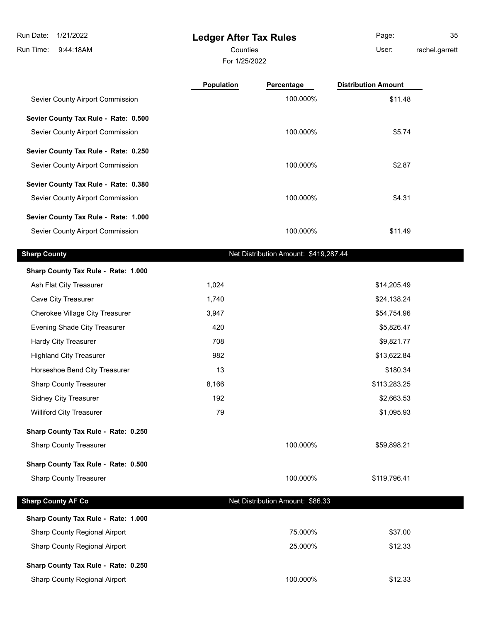9:44:18AM Run Time:

## **Ledger After Tax Rules**

For 1/25/2022 Counties User:

Page: 35 rachel.garrett

| Population | Percentage | <b>Distribution Amount</b>                                                           |
|------------|------------|--------------------------------------------------------------------------------------|
|            | 100.000%   | \$11.48                                                                              |
|            |            |                                                                                      |
|            | 100.000%   | \$5.74                                                                               |
|            |            |                                                                                      |
|            | 100.000%   | \$2.87                                                                               |
|            |            |                                                                                      |
|            | 100.000%   | \$4.31                                                                               |
|            |            |                                                                                      |
|            | 100.000%   | \$11.49                                                                              |
|            |            |                                                                                      |
|            |            |                                                                                      |
| 1,024      |            | \$14,205.49                                                                          |
| 1,740      |            | \$24,138.24                                                                          |
| 3,947      |            | \$54,754.96                                                                          |
| 420        |            | \$5,826.47                                                                           |
| 708        |            | \$9,821.77                                                                           |
| 982        |            | \$13,622.84                                                                          |
| 13         |            | \$180.34                                                                             |
| 8,166      |            | \$113,283.25                                                                         |
| 192        |            | \$2,663.53                                                                           |
| 79         |            | \$1,095.93                                                                           |
|            |            |                                                                                      |
|            | 100.000%   | \$59,898.21                                                                          |
|            |            |                                                                                      |
|            | 100.000%   | \$119,796.41                                                                         |
|            |            |                                                                                      |
|            |            |                                                                                      |
|            |            | \$37.00                                                                              |
|            | 25.000%    | \$12.33                                                                              |
|            |            | Net Distribution Amount: \$419,287.44<br>Net Distribution Amount: \$86.33<br>75.000% |

### **Sharp County Tax Rule - Rate: 0.250**

Sharp County Regional Airport 100.000% \$12.33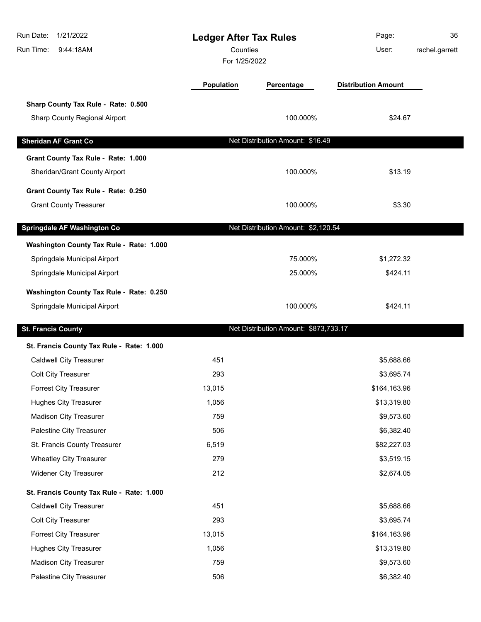| Run Date:<br>1/21/2022<br>Run Time:<br>9:44:18AM | <b>Ledger After Tax Rules</b><br>Counties<br>For 1/25/2022 |                                       | Page:<br>User:             | 36<br>rachel.garrett |
|--------------------------------------------------|------------------------------------------------------------|---------------------------------------|----------------------------|----------------------|
|                                                  | <b>Population</b>                                          | Percentage                            | <b>Distribution Amount</b> |                      |
| Sharp County Tax Rule - Rate: 0.500              |                                                            |                                       |                            |                      |
| Sharp County Regional Airport                    |                                                            | 100.000%                              | \$24.67                    |                      |
| <b>Sheridan AF Grant Co</b>                      |                                                            | Net Distribution Amount: \$16.49      |                            |                      |
| Grant County Tax Rule - Rate: 1.000              |                                                            |                                       |                            |                      |
| Sheridan/Grant County Airport                    |                                                            | 100.000%                              | \$13.19                    |                      |
| Grant County Tax Rule - Rate: 0.250              |                                                            |                                       |                            |                      |
| <b>Grant County Treasurer</b>                    |                                                            | 100.000%                              | \$3.30                     |                      |
| <b>Springdale AF Washington Co</b>               |                                                            | Net Distribution Amount: \$2,120.54   |                            |                      |
| Washington County Tax Rule - Rate: 1.000         |                                                            |                                       |                            |                      |
| Springdale Municipal Airport                     |                                                            | 75.000%                               | \$1,272.32                 |                      |
| Springdale Municipal Airport                     |                                                            | 25.000%                               | \$424.11                   |                      |
| Washington County Tax Rule - Rate: 0.250         |                                                            |                                       |                            |                      |
| Springdale Municipal Airport                     |                                                            | 100.000%                              | \$424.11                   |                      |
|                                                  |                                                            |                                       |                            |                      |
| <b>St. Francis County</b>                        |                                                            | Net Distribution Amount: \$873,733.17 |                            |                      |
| St. Francis County Tax Rule - Rate: 1.000        |                                                            |                                       |                            |                      |
| <b>Caldwell City Treasurer</b>                   | 451                                                        |                                       | \$5,688.66                 |                      |
| <b>Colt City Treasurer</b>                       | 293                                                        |                                       | \$3,695.74                 |                      |
| <b>Forrest City Treasurer</b>                    | 13,015                                                     |                                       | \$164,163.96               |                      |
| <b>Hughes City Treasurer</b>                     | 1,056                                                      |                                       | \$13,319.80                |                      |
| <b>Madison City Treasurer</b>                    | 759                                                        |                                       | \$9,573.60                 |                      |
| Palestine City Treasurer                         | 506                                                        |                                       | \$6,382.40                 |                      |
| St. Francis County Treasurer                     | 6,519                                                      |                                       | \$82,227.03                |                      |
| <b>Wheatley City Treasurer</b>                   | 279                                                        |                                       | \$3,519.15                 |                      |
| <b>Widener City Treasurer</b>                    | 212                                                        |                                       | \$2,674.05                 |                      |
| St. Francis County Tax Rule - Rate: 1.000        |                                                            |                                       |                            |                      |
| <b>Caldwell City Treasurer</b>                   | 451                                                        |                                       | \$5,688.66                 |                      |
| <b>Colt City Treasurer</b>                       | 293                                                        |                                       | \$3,695.74                 |                      |
| Forrest City Treasurer                           | 13,015                                                     |                                       | \$164,163.96               |                      |
| <b>Hughes City Treasurer</b>                     | 1,056                                                      |                                       | \$13,319.80                |                      |
| <b>Madison City Treasurer</b>                    | 759                                                        |                                       | \$9,573.60                 |                      |
| Palestine City Treasurer                         | 506                                                        |                                       | \$6,382.40                 |                      |
|                                                  |                                                            |                                       |                            |                      |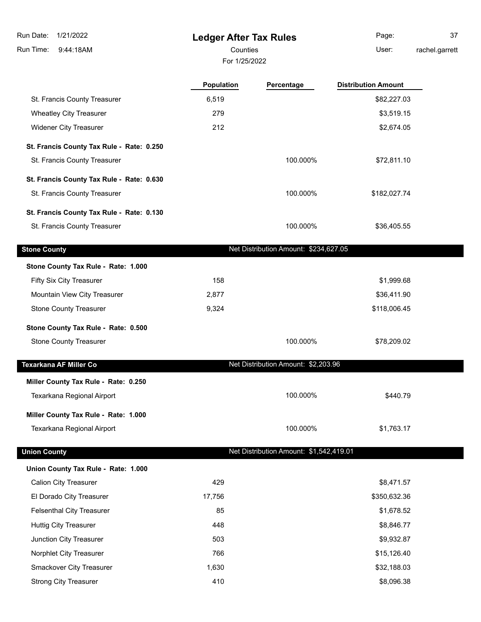**Ledger After Tax Rules**

For 1/25/2022

Counties **User:** Page: 37

rachel.garrett

|                                           | Population | Percentage                              | <b>Distribution Amount</b> |
|-------------------------------------------|------------|-----------------------------------------|----------------------------|
| St. Francis County Treasurer              | 6,519      |                                         | \$82,227.03                |
| <b>Wheatley City Treasurer</b>            | 279        |                                         | \$3,519.15                 |
| <b>Widener City Treasurer</b>             | 212        |                                         | \$2,674.05                 |
| St. Francis County Tax Rule - Rate: 0.250 |            |                                         |                            |
| St. Francis County Treasurer              |            | 100.000%                                | \$72,811.10                |
| St. Francis County Tax Rule - Rate: 0.630 |            |                                         |                            |
| St. Francis County Treasurer              |            | 100.000%                                | \$182,027.74               |
| St. Francis County Tax Rule - Rate: 0.130 |            |                                         |                            |
| St. Francis County Treasurer              |            | 100.000%                                | \$36,405.55                |
| <b>Stone County</b>                       |            | Net Distribution Amount: \$234,627.05   |                            |
| Stone County Tax Rule - Rate: 1.000       |            |                                         |                            |
| Fifty Six City Treasurer                  | 158        |                                         | \$1,999.68                 |
| Mountain View City Treasurer              | 2,877      |                                         | \$36,411.90                |
| <b>Stone County Treasurer</b>             | 9,324      |                                         | \$118,006.45               |
| Stone County Tax Rule - Rate: 0.500       |            |                                         |                            |
| <b>Stone County Treasurer</b>             |            | 100.000%                                | \$78,209.02                |
| Texarkana AF Miller Co                    |            | Net Distribution Amount: \$2,203.96     |                            |
| Miller County Tax Rule - Rate: 0.250      |            |                                         |                            |
| Texarkana Regional Airport                |            | 100.000%                                | \$440.79                   |
| Miller County Tax Rule - Rate: 1.000      |            |                                         |                            |
| Texarkana Regional Airport                |            | 100.000%                                | \$1,763.17                 |
| <b>Union County</b>                       |            | Net Distribution Amount: \$1,542,419.01 |                            |
| Union County Tax Rule - Rate: 1.000       |            |                                         |                            |
| <b>Calion City Treasurer</b>              | 429        |                                         | \$8,471.57                 |
| El Dorado City Treasurer                  | 17,756     |                                         | \$350,632.36               |
| <b>Felsenthal City Treasurer</b>          | 85         |                                         | \$1,678.52                 |
| <b>Huttig City Treasurer</b>              | 448        |                                         | \$8,846.77                 |
| Junction City Treasurer                   | 503        |                                         | \$9,932.87                 |
| Norphlet City Treasurer                   | 766        |                                         | \$15,126.40                |
| Smackover City Treasurer                  | 1,630      |                                         | \$32,188.03                |
| <b>Strong City Treasurer</b>              | 410        |                                         | \$8,096.38                 |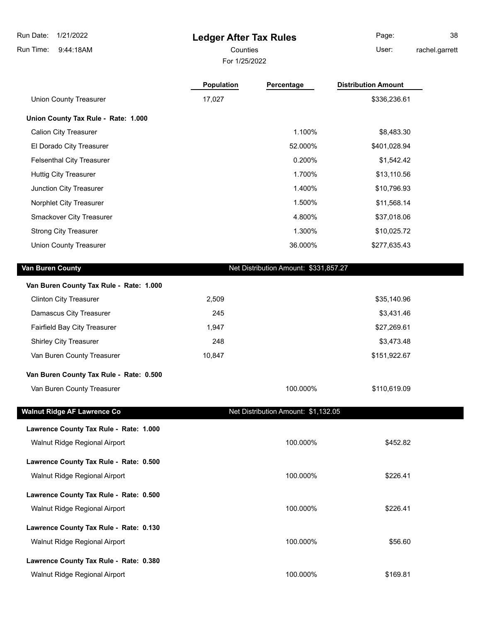# **Ledger After Tax Rules**

For 1/25/2022

Counties **User:** 

Page: 38 rachel.garrett

|                                         | Population | Percentage                            | <b>Distribution Amount</b> |
|-----------------------------------------|------------|---------------------------------------|----------------------------|
| <b>Union County Treasurer</b>           | 17,027     |                                       | \$336,236.61               |
| Union County Tax Rule - Rate: 1.000     |            |                                       |                            |
| <b>Calion City Treasurer</b>            |            | 1.100%                                | \$8,483.30                 |
| El Dorado City Treasurer                |            | 52.000%                               | \$401,028.94               |
| <b>Felsenthal City Treasurer</b>        |            | 0.200%                                | \$1,542.42                 |
| <b>Huttig City Treasurer</b>            |            | 1.700%                                | \$13,110.56                |
| Junction City Treasurer                 |            | 1.400%                                | \$10,796.93                |
| Norphlet City Treasurer                 |            | 1.500%                                | \$11,568.14                |
| Smackover City Treasurer                |            | 4.800%                                | \$37,018.06                |
| <b>Strong City Treasurer</b>            |            | 1.300%                                | \$10,025.72                |
| <b>Union County Treasurer</b>           |            | 36.000%                               | \$277,635.43               |
| Van Buren County                        |            | Net Distribution Amount: \$331,857.27 |                            |
| Van Buren County Tax Rule - Rate: 1.000 |            |                                       |                            |
| <b>Clinton City Treasurer</b>           | 2,509      |                                       | \$35,140.96                |
| Damascus City Treasurer                 | 245        |                                       | \$3,431.46                 |
| Fairfield Bay City Treasurer            | 1,947      |                                       | \$27,269.61                |
| <b>Shirley City Treasurer</b>           | 248        |                                       | \$3,473.48                 |
| Van Buren County Treasurer              | 10,847     |                                       | \$151,922.67               |
| Van Buren County Tax Rule - Rate: 0.500 |            |                                       |                            |
| Van Buren County Treasurer              |            | 100.000%                              | \$110,619.09               |
| <b>Walnut Ridge AF Lawrence Co</b>      |            | Net Distribution Amount: \$1,132.05   |                            |
| Lawrence County Tax Rule - Rate: 1.000  |            |                                       |                            |
| Walnut Ridge Regional Airport           |            | 100.000%                              | \$452.82                   |
| Lawrence County Tax Rule - Rate: 0.500  |            |                                       |                            |
| Walnut Ridge Regional Airport           |            | 100.000%                              | \$226.41                   |
| Lawrence County Tax Rule - Rate: 0.500  |            |                                       |                            |
| Walnut Ridge Regional Airport           |            | 100.000%                              | \$226.41                   |
| Lawrence County Tax Rule - Rate: 0.130  |            |                                       |                            |
| Walnut Ridge Regional Airport           |            | 100.000%                              | \$56.60                    |
| Lawrence County Tax Rule - Rate: 0.380  |            |                                       |                            |
| Walnut Ridge Regional Airport           |            | 100.000%                              | \$169.81                   |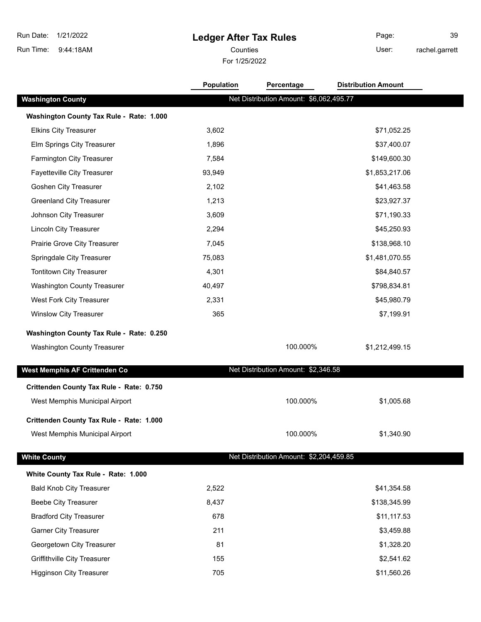# **Ledger After Tax Rules**

For 1/25/2022 Counties User:

Page: 39 rachel.garrett

|                                                                            | Population | Percentage                              | <b>Distribution Amount</b> |  |
|----------------------------------------------------------------------------|------------|-----------------------------------------|----------------------------|--|
| <b>Washington County</b>                                                   |            | Net Distribution Amount: \$6,062,495.77 |                            |  |
| Washington County Tax Rule - Rate: 1.000                                   |            |                                         |                            |  |
| <b>Elkins City Treasurer</b>                                               | 3,602      |                                         | \$71,052.25                |  |
| Elm Springs City Treasurer                                                 | 1,896      |                                         | \$37,400.07                |  |
| Farmington City Treasurer                                                  | 7,584      |                                         | \$149,600.30               |  |
| Fayetteville City Treasurer                                                | 93,949     |                                         | \$1,853,217.06             |  |
| <b>Goshen City Treasurer</b>                                               | 2,102      |                                         | \$41,463.58                |  |
| <b>Greenland City Treasurer</b>                                            | 1,213      |                                         | \$23,927.37                |  |
| Johnson City Treasurer                                                     | 3,609      |                                         | \$71,190.33                |  |
| <b>Lincoln City Treasurer</b>                                              | 2,294      |                                         | \$45,250.93                |  |
| Prairie Grove City Treasurer                                               | 7,045      |                                         | \$138,968.10               |  |
| Springdale City Treasurer                                                  | 75,083     |                                         | \$1,481,070.55             |  |
| <b>Tontitown City Treasurer</b>                                            | 4,301      |                                         | \$84,840.57                |  |
| Washington County Treasurer                                                | 40,497     |                                         | \$798,834.81               |  |
| West Fork City Treasurer                                                   | 2,331      |                                         | \$45,980.79                |  |
| <b>Winslow City Treasurer</b>                                              | 365        |                                         | \$7,199.91                 |  |
| Washington County Tax Rule - Rate: 0.250                                   |            |                                         |                            |  |
| Washington County Treasurer                                                |            | 100.000%                                | \$1,212,499.15             |  |
| West Memphis AF Crittenden Co                                              |            | Net Distribution Amount: \$2,346.58     |                            |  |
|                                                                            |            |                                         |                            |  |
| Crittenden County Tax Rule - Rate: 0.750<br>West Memphis Municipal Airport |            | 100.000%                                | \$1,005.68                 |  |
|                                                                            |            |                                         |                            |  |
| Crittenden County Tax Rule - Rate: 1.000                                   |            |                                         |                            |  |
| West Memphis Municipal Airport                                             |            | 100.000%                                | \$1,340.90                 |  |
| <b>White County</b>                                                        |            | Net Distribution Amount: \$2,204,459.85 |                            |  |
| White County Tax Rule - Rate: 1.000                                        |            |                                         |                            |  |
| <b>Bald Knob City Treasurer</b>                                            | 2,522      |                                         | \$41,354.58                |  |
| <b>Beebe City Treasurer</b>                                                | 8,437      |                                         | \$138,345.99               |  |
| <b>Bradford City Treasurer</b>                                             | 678        |                                         | \$11,117.53                |  |
| <b>Garner City Treasurer</b>                                               | 211        |                                         | \$3,459.88                 |  |
| Georgetown City Treasurer                                                  | 81         |                                         | \$1,328.20                 |  |
| Griffithville City Treasurer                                               | 155        |                                         | \$2,541.62                 |  |
| <b>Higginson City Treasurer</b>                                            | 705        |                                         | \$11,560.26                |  |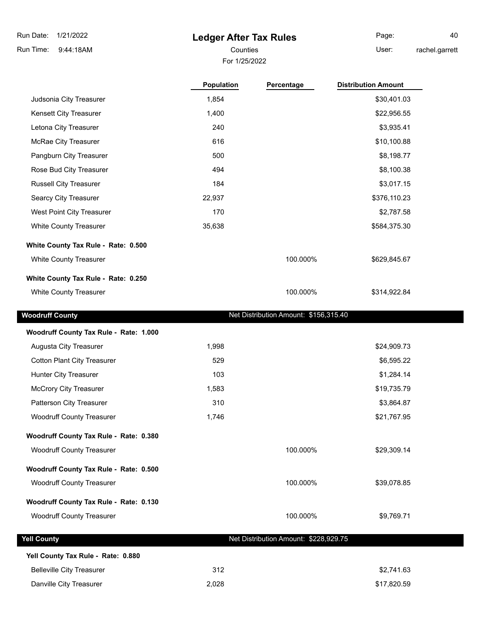9:44:18AM Run Time:

# **Ledger After Tax Rules**

For 1/25/2022

Counties **User:** Page: 40 rachel.garrett

|                                                                         | <b>Population</b> | Percentage                            | <b>Distribution Amount</b> |
|-------------------------------------------------------------------------|-------------------|---------------------------------------|----------------------------|
| Judsonia City Treasurer                                                 | 1,854             |                                       | \$30,401.03                |
| Kensett City Treasurer                                                  | 1,400             |                                       | \$22,956.55                |
| Letona City Treasurer                                                   | 240               |                                       | \$3,935.41                 |
| McRae City Treasurer                                                    | 616               |                                       | \$10,100.88                |
| Pangburn City Treasurer                                                 | 500               |                                       | \$8,198.77                 |
| Rose Bud City Treasurer                                                 | 494               |                                       | \$8,100.38                 |
| <b>Russell City Treasurer</b>                                           | 184               |                                       | \$3,017.15                 |
| Searcy City Treasurer                                                   | 22,937            |                                       | \$376,110.23               |
| West Point City Treasurer                                               | 170               |                                       | \$2,787.58                 |
| White County Treasurer                                                  | 35,638            |                                       | \$584,375.30               |
| White County Tax Rule - Rate: 0.500                                     |                   |                                       |                            |
| White County Treasurer                                                  |                   | 100.000%                              | \$629,845.67               |
| White County Tax Rule - Rate: 0.250                                     |                   |                                       |                            |
| White County Treasurer                                                  |                   | 100.000%                              | \$314,922.84               |
|                                                                         |                   |                                       |                            |
| <b>Woodruff County</b>                                                  |                   | Net Distribution Amount: \$156,315.40 |                            |
|                                                                         |                   |                                       |                            |
|                                                                         |                   |                                       |                            |
| Augusta City Treasurer                                                  | 1,998             |                                       | \$24,909.73                |
| <b>Cotton Plant City Treasurer</b>                                      | 529               |                                       |                            |
| Hunter City Treasurer                                                   | 103               |                                       | \$6,595.22<br>\$1,284.14   |
| Woodruff County Tax Rule - Rate: 1.000<br><b>McCrory City Treasurer</b> | 1,583             |                                       | \$19,735.79                |
| Patterson City Treasurer                                                | 310               |                                       | \$3,864.87                 |
| <b>Woodruff County Treasurer</b>                                        | 1,746             |                                       | \$21,767.95                |
| Woodruff County Tax Rule - Rate: 0.380                                  |                   |                                       |                            |
| <b>Woodruff County Treasurer</b>                                        |                   | 100.000%                              | \$29,309.14                |
| Woodruff County Tax Rule - Rate: 0.500                                  |                   |                                       |                            |
| <b>Woodruff County Treasurer</b>                                        |                   | 100.000%                              | \$39,078.85                |
| Woodruff County Tax Rule - Rate: 0.130                                  |                   |                                       |                            |

| Yell County Tax Rule - Rate: 0.880 |       |             |
|------------------------------------|-------|-------------|
| <b>Belleville City Treasurer</b>   | 312   | \$2.741.63  |
| Danville City Treasurer            | 2,028 | \$17,820.59 |